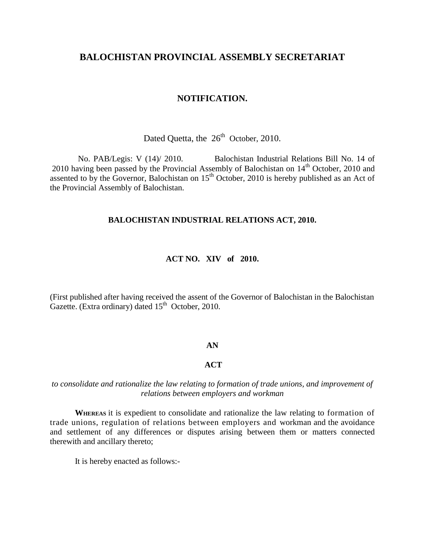## **BALOCHISTAN PROVINCIAL ASSEMBLY SECRETARIAT**

### **NOTIFICATION.**

Dated Quetta, the  $26<sup>th</sup>$  October, 2010.

 No. PAB/Legis: V (14)/ 2010. Balochistan Industrial Relations Bill No. 14 of 2010 having been passed by the Provincial Assembly of Balochistan on  $14<sup>th</sup>$  October, 2010 and assented to by the Governor, Balochistan on  $15<sup>th</sup>$  October, 2010 is hereby published as an Act of the Provincial Assembly of Balochistan.

### **BALOCHISTAN INDUSTRIAL RELATIONS ACT, 2010.**

#### **ACT NO. XIV of 2010.**

(First published after having received the assent of the Governor of Balochistan in the Balochistan Gazette. (Extra ordinary) dated  $15<sup>th</sup>$  October, 2010.

#### **AN**

### **ACT**

### *to consolidate and rationalize the law relating to formation of trade unions, and improvement of relations between employers and workman*

**WHEREAS** it is expedient to consolidate and rationalize the law relating to formation of trade unions, regulation of relations between employers and workman and the avoidance and settlement of any differences or disputes arising between them or matters connected therewith and ancillary thereto;

It is hereby enacted as follows:-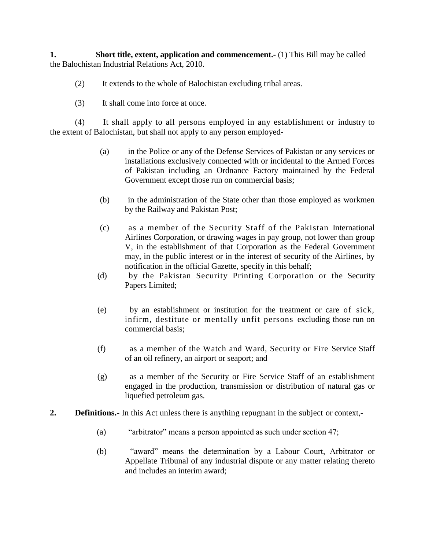**1.** Short title, extent, application and commencement. (1) This Bill may be called the Balochistan Industrial Relations Act, 2010.

- (2) It extends to the whole of Balochistan excluding tribal areas.
- (3) It shall come into force at once.

(4) It shall apply to all persons employed in any establishment or industry to the extent of Balochistan, but shall not apply to any person employed-

- (a) in the Police or any of the Defense Services of Pakistan or any services or installations exclusively connected with or incidental to the Armed Forces of Pakistan including an Ordnance Factory maintained by the Federal Government except those run on commercial basis;
- (b) in the administration of the State other than those employed as workmen by the Railway and Pakistan Post;
- (c) as a member of the Security Staff of the Pakistan International Airlines Corporation, or drawing wages in pay group, not lower than group V, in the establishment of that Corporation as the Federal Government may, in the public interest or in the interest of security of the Airlines, by notification in the official Gazette, specify in this behalf;
- (d) by the Pakistan Security Printing Corporation or the Security Papers Limited;
- (e) by an establishment or institution for the treatment or care of sick, infirm, destitute or mentally unfit persons excluding those run on commercial basis;
- (f) as a member of the Watch and Ward, Security or Fire Service Staff of an oil refinery, an airport or seaport; and
- (g) as a member of the Security or Fire Service Staff of an establishment engaged in the production, transmission or distribution of natural gas or liquefied petroleum gas.
- **2. Definitions.** In this Act unless there is anything repugnant in the subject or context,-
	- (a) "arbitrator" means a person appointed as such under section 47;
	- (b) "award" means the determination by a Labour Court, Arbitrator or Appellate Tribunal of any industrial dispute or any matter relating thereto and includes an interim award;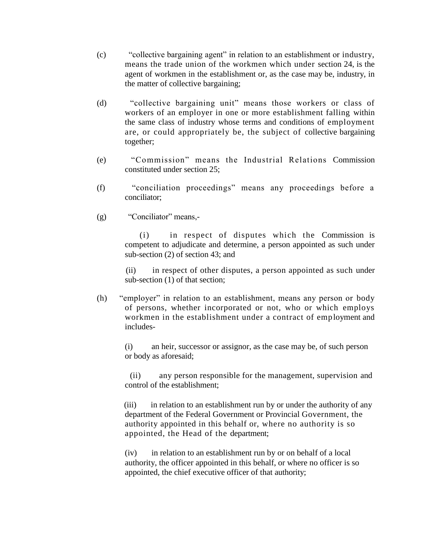- (c) "collective bargaining agent" in relation to an establishment or industry, means the trade union of the workmen which under section 24, is the agent of workmen in the establishment or, as the case may be, industry, in the matter of collective bargaining;
- (d) "collective bargaining unit" means those workers or class of workers of an employer in one or more establishment falling within the same class of industry whose terms and conditions of employment are, or could appropriately be, the subject of collective bargaining together;
- (e) "Commission" means the Industrial Relations Commission constituted under section 25;
- (f) "conciliation proceedings" means any proceedings before a conciliator;
- (g) "Conciliator" means,-

 (i) in respect of disputes which the Commission is competent to adjudicate and determine, a person appointed as such under sub-section (2) of section 43; and

 (ii) in respect of other disputes, a person appointed as such under sub-section (1) of that section;

(h) "employer" in relation to an establishment, means any person or body of persons, whether incorporated or not, who or which employs workmen in the establishment under a contract of employment and includes-

(i) an heir, successor or assignor, as the case may be, of such person or body as aforesaid;

 (ii) any person responsible for the management, supervision and control of the establishment;

(iii) in relation to an establishment run by or under the authority of any department of the Federal Government or Provincial Government, the authority appointed in this behalf or, where no authority is so appointed, the Head of the department;

 (iv) in relation to an establishment run by or on behalf of a local authority, the officer appointed in this behalf, or where no officer is so appointed, the chief executive officer of that authority;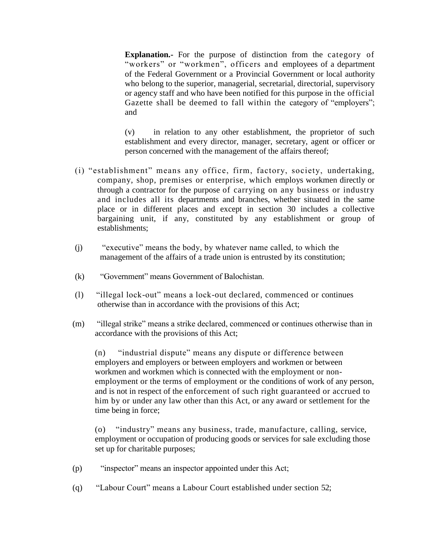**Explanation.-** For the purpose of distinction from the category of "workers" or "workmen", officers and employees of a department of the Federal Government or a Provincial Government or local authority who belong to the superior, managerial, secretarial, directorial, supervisory or agency staff and who have been notified for this purpose in the official Gazette shall be deemed to fall within the category of "employers"; and

(v) in relation to any other establishment, the proprietor of such establishment and every director, manager, secretary, agent or officer or person concerned with the management of the affairs thereof;

- (i) "establishment" means any office, firm, factory, society, undertaking, company, shop, premises or enterprise, which employs workmen directly or through a contractor for the purpose of carrying on any business or industry and includes all its departments and branches, whether situated in the same place or in different places and except in section 30 includes a collective bargaining unit, if any, constituted by any establishment or group of establishments;
- (j) "executive" means the body, by whatever name called, to which the management of the affairs of a trade union is entrusted by its constitution;
- (k) "Government" means Government of Balochistan.
- (l) "illegal lock-out" means a lock-out declared, commenced or continues otherwise than in accordance with the provisions of this Act;
- (m) "illegal strike" means a strike declared, commenced or continues otherwise than in accordance with the provisions of this Act;

(n) "industrial dispute" means any dispute or difference between employers and employers or between employers and workmen or between workmen and workmen which is connected with the employment or nonemployment or the terms of employment or the conditions of work of any person, and is not in respect of the enforcement of such right guaranteed or accrued to him by or under any law other than this Act, or any award or settlement for the time being in force;

(o) "industry" means any business, trade, manufacture, calling, service, employment or occupation of producing goods or services for sale excluding those set up for charitable purposes;

- (p) "inspector" means an inspector appointed under this Act;
- (q) "Labour Court" means a Labour Court established under section 52;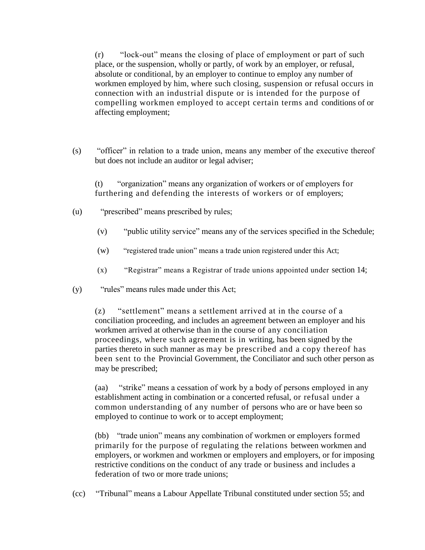(r) "lock-out" means the closing of place of employment or part of such place, or the suspension, wholly or partly, of work by an employer, or refusal, absolute or conditional, by an employer to continue to employ any number of workmen employed by him, where such closing, suspension or refusal occurs in connection with an industrial dispute or is intended for the purpose of compelling workmen employed to accept certain terms and conditions of or affecting employment;

(s) "officer" in relation to a trade union, means any member of the executive thereof but does not include an auditor or legal adviser;

(t) "organization" means any organization of workers or of employers for furthering and defending the interests of workers or of employers;

- (u) "prescribed" means prescribed by rules;
	- (v) "public utility service" means any of the services specified in the Schedule;
	- (w) "registered trade union" means a trade union registered under this Act;
	- (x) "Registrar" means a Registrar of trade unions appointed under section 14;
- (y) "rules" means rules made under this Act;

(z) "settlement" means a settlement arrived at in the course of a conciliation proceeding, and includes an agreement between an employer and his workmen arrived at otherwise than in the course of any conciliation proceedings, where such agreement is in writing, has been signed by the parties thereto in such manner as may be prescribed and a copy thereof has been sent to the Provincial Government, the Conciliator and such other person as may be prescribed;

(aa) "strike" means a cessation of work by a body of persons employed in any establishment acting in combination or a concerted refusal, or refusal under a common understanding of any number of persons who are or have been so employed to continue to work or to accept employment;

(bb) "trade union" means any combination of workmen or employers formed primarily for the purpose of regulating the relations between workmen and employers, or workmen and workmen or employers and employers, or for imposing restrictive conditions on the conduct of any trade or business and includes a federation of two or more trade unions;

(cc) "Tribunal" means a Labour Appellate Tribunal constituted under section 55; and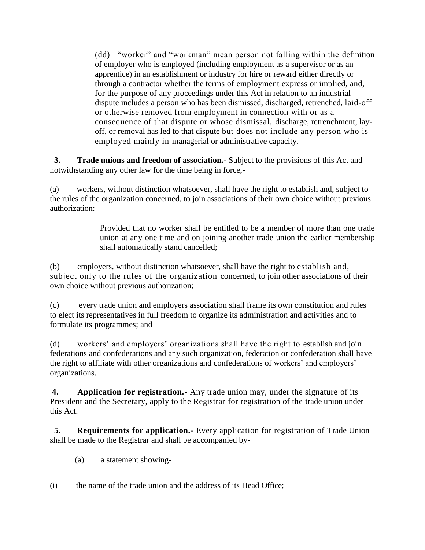(dd) "worker" and "workman" mean person not falling within the definition of employer who is employed (including employment as a supervisor or as an apprentice) in an establishment or industry for hire or reward either directly or through a contractor whether the terms of employment express or implied, and, for the purpose of any proceedings under this Act in relation to an industrial dispute includes a person who has been dismissed, discharged, retrenched, laid-off or otherwise removed from employment in connection with or as a consequence of that dispute or whose dismissal, discharge, retrenchment, layoff, or removal has led to that dispute but does not include any person who is employed mainly in managerial or administrative capacity.

**3. Trade unions and freedom of association.-** Subject to the provisions of this Act and notwithstanding any other law for the time being in force,-

(a) workers, without distinction whatsoever, shall have the right to establish and, subject to the rules of the organization concerned, to join associations of their own choice without previous authorization:

> Provided that no worker shall be entitled to be a member of more than one trade union at any one time and on joining another trade union the earlier membership shall automatically stand cancelled;

(b) employers, without distinction whatsoever, shall have the right to establish and, subject only to the rules of the organization concerned, to join other associations of their own choice without previous authorization;

(c) every trade union and employers association shall frame its own constitution and rules to elect its representatives in full freedom to organize its administration and activities and to formulate its programmes; and

(d) workers' and employers' organizations shall have the right to establish and join federations and confederations and any such organization, federation or confederation shall have the right to affiliate with other organizations and confederations of workers' and employers' organizations.

**4. Application for registration.-** Any trade union may, under the signature of its President and the Secretary, apply to the Registrar for registration of the trade union under this Act.

**5.** Requirements for application. Every application for registration of Trade Union shall be made to the Registrar and shall be accompanied by-

- (a) a statement showing-
- (i) the name of the trade union and the address of its Head Office;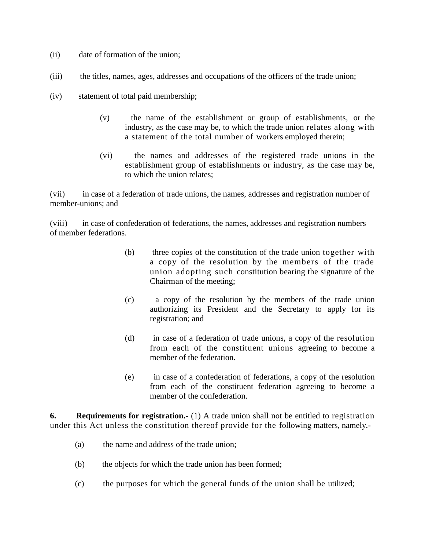- (ii) date of formation of the union;
- (iii) the titles, names, ages, addresses and occupations of the officers of the trade union;
- (iv) statement of total paid membership;
	- (v) the name of the establishment or group of establishments, or the industry, as the case may be, to which the trade union relates along with a statement of the total number of workers employed therein;
	- (vi) the names and addresses of the registered trade unions in the establishment group of establishments or industry, as the case may be, to which the union relates;

(vii) in case of a federation of trade unions, the names, addresses and registration number of member-unions; and

(viii) in case of confederation of federations, the names, addresses and registration numbers of member federations.

- (b) three copies of the constitution of the trade union together with a copy of the resolution by the members of the trade union adopting such constitution bearing the signature of the Chairman of the meeting;
- (c) a copy of the resolution by the members of the trade union authorizing its President and the Secretary to apply for its registration; and
- (d) in case of a federation of trade unions, a copy of the resolution from each of the constituent unions agreeing to become a member of the federation.
- (e) in case of a confederation of federations, a copy of the resolution from each of the constituent federation agreeing to become a member of the confederation.

**6.** Requirements for registration.- (1) A trade union shall not be entitled to registration under this Act unless the constitution thereof provide for the following matters, namely.-

- (a) the name and address of the trade union;
- (b) the objects for which the trade union has been formed;
- (c) the purposes for which the general funds of the union shall be utilized;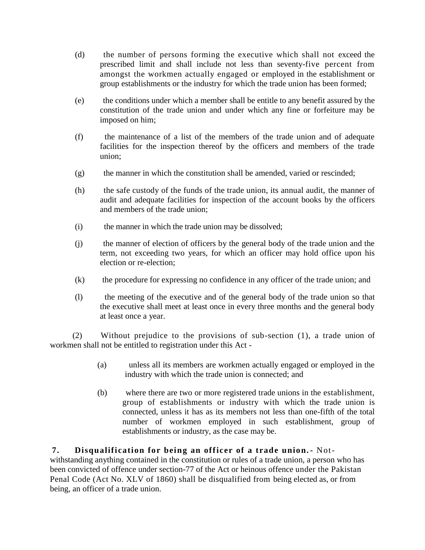- (d) the number of persons forming the executive which shall not exceed the prescribed limit and shall include not less than seventy-five percent from amongst the workmen actually engaged or employed in the establishment or group establishments or the industry for which the trade union has been formed;
- (e) the conditions under which a member shall be entitle to any benefit assured by the constitution of the trade union and under which any fine or forfeiture may be imposed on him;
- (f) the maintenance of a list of the members of the trade union and of adequate facilities for the inspection thereof by the officers and members of the trade union;
- $(g)$  the manner in which the constitution shall be amended, varied or rescinded;
- (h) the safe custody of the funds of the trade union, its annual audit, the manner of audit and adequate facilities for inspection of the account books by the officers and members of the trade union;
- (i) the manner in which the trade union may be dissolved;
- (j) the manner of election of officers by the general body of the trade union and the term, not exceeding two years, for which an officer may hold office upon his election or re-election;
- (k) the procedure for expressing no confidence in any officer of the trade union; and
- (l) the meeting of the executive and of the general body of the trade union so that the executive shall meet at least once in every three months and the general body at least once a year.

(2) Without prejudice to the provisions of sub-section (1), a trade union of workmen shall not be entitled to registration under this Act -

- (a) unless all its members are workmen actually engaged or employed in the industry with which the trade union is connected; and
- (b) where there are two or more registered trade unions in the establishment, group of establishments or industry with which the trade union is connected, unless it has as its members not less than one-fifth of the total number of workmen employed in such establishment, group of establishments or industry, as the case may be.

### **7. Disqualification for being an officer of a trade union.-** Not-

withstanding anything contained in the constitution or rules of a trade union, a person who has been convicted of offence under section-77 of the Act or heinous offence under the Pakistan Penal Code (Act No. XLV of 1860) shall be disqualified from being elected as, or from being, an officer of a trade union.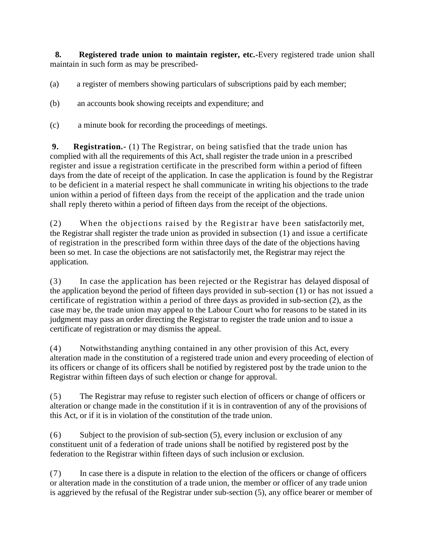**8. Registered trade union to maintain register, etc.-**Every registered trade union shall maintain in such form as may be prescribed-

(a) a register of members showing particulars of subscriptions paid by each member;

(b) an accounts book showing receipts and expenditure; and

(c) a minute book for recording the proceedings of meetings.

**9. Registration.-** (1) The Registrar, on being satisfied that the trade union has complied with all the requirements of this Act, shall register the trade union in a prescribed register and issue a registration certificate in the prescribed form within a period of fifteen days from the date of receipt of the application. In case the application is found by the Registrar to be deficient in a material respect he shall communicate in writing his objections to the trade union within a period of fifteen days from the receipt of the application and the trade union shall reply thereto within a period of fifteen days from the receipt of the objections.

(2) When the objections raised by the Registrar have been satisfactorily met, the Registrar shall register the trade union as provided in subsection (1) and issue a certificate of registration in the prescribed form within three days of the date of the objections having been so met. In case the objections are not satisfactorily met, the Registrar may reject the application.

(3) In case the application has been rejected or the Registrar has delayed disposal of the application beyond the period of fifteen days provided in sub-section (1) or has not issued a certificate of registration within a period of three days as provided in sub-section (2), as the case may be, the trade union may appeal to the Labour Court who for reasons to be stated in its judgment may pass an order directing the Registrar to register the trade union and to issue a certificate of registration or may dismiss the appeal.

(4) Notwithstanding anything contained in any other provision of this Act, every alteration made in the constitution of a registered trade union and every proceeding of election of its officers or change of its officers shall be notified by registered post by the trade union to the Registrar within fifteen days of such election or change for approval.

(5) The Registrar may refuse to register such election of officers or change of officers or alteration or change made in the constitution if it is in contravention of any of the provisions of this Act, or if it is in violation of the constitution of the trade union.

(6) Subject to the provision of sub-section (5), every inclusion or exclusion of any constituent unit of a federation of trade unions shall be notified by registered post by the federation to the Registrar within fifteen days of such inclusion or exclusion.

(7) In case there is a dispute in relation to the election of the officers or change of officers or alteration made in the constitution of a trade union, the member or officer of any trade union is aggrieved by the refusal of the Registrar under sub-section (5), any office bearer or member of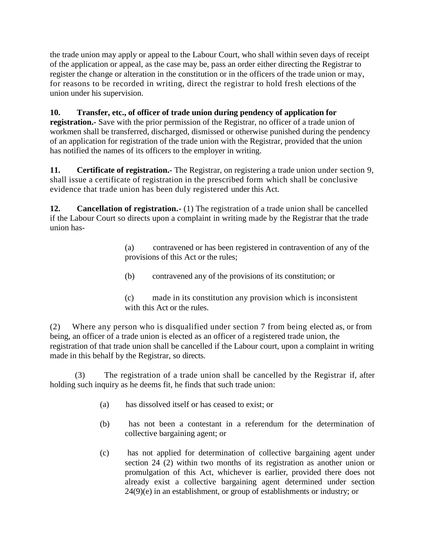the trade union may apply or appeal to the Labour Court, who shall within seven days of receipt of the application or appeal, as the case may be, pass an order either directing the Registrar to register the change or alteration in the constitution or in the officers of the trade union or may, for reasons to be recorded in writing, direct the registrar to hold fresh elections of the union under his supervision.

## **10. Transfer, etc., of officer of trade union during pendency of application for**

**registration.-** Save with the prior permission of the Registrar, no officer of a trade union of workmen shall be transferred, discharged, dismissed or otherwise punished during the pendency of an application for registration of the trade union with the Registrar, provided that the union has notified the names of its officers to the employer in writing.

**11. Certificate of registration.-** The Registrar, on registering a trade union under section 9, shall issue a certificate of registration in the prescribed form which shall be conclusive evidence that trade union has been duly registered under this Act.

**12. Cancellation of registration.-** (1) The registration of a trade union shall be cancelled if the Labour Court so directs upon a complaint in writing made by the Registrar that the trade union has-

> (a) contravened or has been registered in contravention of any of the provisions of this Act or the rules;

- (b) contravened any of the provisions of its constitution; or
- (c) made in its constitution any provision which is inconsistent with this Act or the rules.

(2) Where any person who is disqualified under section 7 from being elected as, or from being, an officer of a trade union is elected as an officer of a registered trade union, the registration of that trade union shall be cancelled if the Labour court, upon a complaint in writing made in this behalf by the Registrar, so directs.

(3) The registration of a trade union shall be cancelled by the Registrar if, after holding such inquiry as he deems fit, he finds that such trade union:

- (a) has dissolved itself or has ceased to exist; or
- (b) has not been a contestant in a referendum for the determination of collective bargaining agent; or
- (c) has not applied for determination of collective bargaining agent under section 24 (2) within two months of its registration as another union or promulgation of this Act, whichever is earlier, provided there does not already exist a collective bargaining agent determined under section 24(9)(e) in an establishment, or group of establishments or industry; or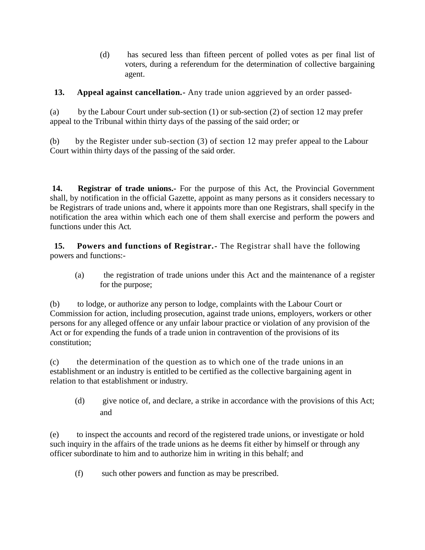(d) has secured less than fifteen percent of polled votes as per final list of voters, during a referendum for the determination of collective bargaining agent.

**13. Appeal against cancellation.-** Any trade union aggrieved by an order passed-

(a) by the Labour Court under sub-section (1) or sub-section (2) of section 12 may prefer appeal to the Tribunal within thirty days of the passing of the said order; or

(b) by the Register under sub-section (3) of section 12 may prefer appeal to the Labour Court within thirty days of the passing of the said order.

**14. Registrar of trade unions.-** For the purpose of this Act, the Provincial Government shall, by notification in the official Gazette, appoint as many persons as it considers necessary to be Registrars of trade unions and, where it appoints more than one Registrars, shall specify in the notification the area within which each one of them shall exercise and perform the powers and functions under this Act.

**15. Powers and functions of Registrar.-** The Registrar shall have the following powers and functions:-

(a) the registration of trade unions under this Act and the maintenance of a register for the purpose;

(b) to lodge, or authorize any person to lodge, complaints with the Labour Court or Commission for action, including prosecution, against trade unions, employers, workers or other persons for any alleged offence or any unfair labour practice or violation of any provision of the Act or for expending the funds of a trade union in contravention of the provisions of its constitution;

(c) the determination of the question as to which one of the trade unions in an establishment or an industry is entitled to be certified as the collective bargaining agent in relation to that establishment or industry.

(d) give notice of, and declare, a strike in accordance with the provisions of this Act; and

(e) to inspect the accounts and record of the registered trade unions, or investigate or hold such inquiry in the affairs of the trade unions as he deems fit either by himself or through any officer subordinate to him and to authorize him in writing in this behalf; and

(f) such other powers and function as may be prescribed.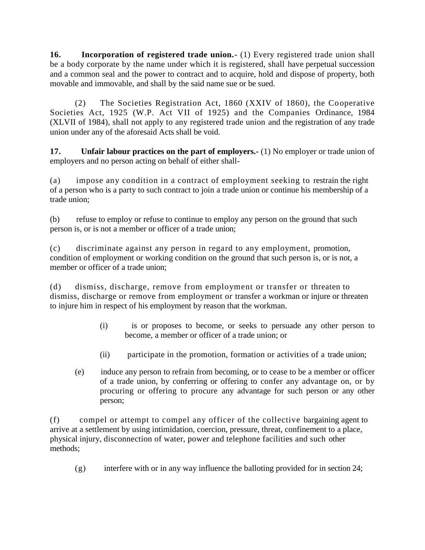**16. Incorporation of registered trade union.-** (1) Every registered trade union shall be a body corporate by the name under which it is registered, shall have perpetual succession and a common seal and the power to contract and to acquire, hold and dispose of property, both movable and immovable, and shall by the said name sue or be sued.

(2) The Societies Registration Act, 1860 (XXIV of 1860), the Cooperative Societies Act, 1925 (W.P. Act VII of 1925) and the Companies Ordinance, 1984 (XLVII of 1984), shall not apply to any registered trade union and the registration of any trade union under any of the aforesaid Acts shall be void.

**17. Unfair labour practices on the part of employers.-** (1) No employer or trade union of employers and no person acting on behalf of either shall-

(a) impose any condition in a contract of employment seeking to restrain the right of a person who is a party to such contract to join a trade union or continue his membership of a trade union;

(b) refuse to employ or refuse to continue to employ any person on the ground that such person is, or is not a member or officer of a trade union;

(c) discriminate against any person in regard to any employment, promotion, condition of employment or working condition on the ground that such person is, or is not, a member or officer of a trade union;

(d) dismiss, discharge, remove from employment or transfer or threaten to dismiss, discharge or remove from employment or transfer a workman or injure or threaten to injure him in respect of his employment by reason that the workman.

- (i) is or proposes to become, or seeks to persuade any other person to become, a member or officer of a trade union; or
- (ii) participate in the promotion, formation or activities of a trade union;
- (e) induce any person to refrain from becoming, or to cease to be a member or officer of a trade union, by conferring or offering to confer any advantage on, or by procuring or offering to procure any advantage for such person or any other person;

(f) compel or attempt to compel any officer of the collective bargaining agent to arrive at a settlement by using intimidation, coercion, pressure, threat, confinement to a place, physical injury, disconnection of water, power and telephone facilities and such other methods;

(g) interfere with or in any way influence the balloting provided for in section 24;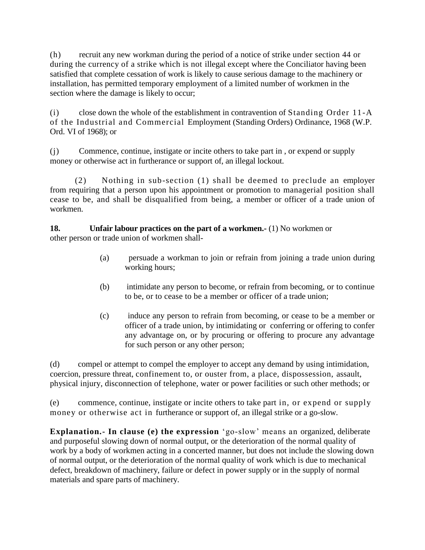(h) recruit any new workman during the period of a notice of strike under section 44 or during the currency of a strike which is not illegal except where the Conciliator having been satisfied that complete cessation of work is likely to cause serious damage to the machinery or installation, has permitted temporary employment of a limited number of workmen in the section where the damage is likely to occur;

(i) close down the whole of the establishment in contravention of Standing Order 11-A of the Industrial and Commercial Employment (Standing Orders) Ordinance, 1968 (W.P. Ord. VI of 1968); or

(j) Commence, continue, instigate or incite others to take part in , or expend or supply money or otherwise act in furtherance or support of, an illegal lockout.

(2) Nothing in sub-section (1) shall be deemed to preclude an employer from requiring that a person upon his appointment or promotion to managerial position shall cease to be, and shall be disqualified from being, a member or officer of a trade union of workmen.

### **18. Unfair labour practices on the part of a workmen.-** (1) No workmen or other person or trade union of workmen shall-

- (a) persuade a workman to join or refrain from joining a trade union during working hours;
- (b) intimidate any person to become, or refrain from becoming, or to continue to be, or to cease to be a member or officer of a trade union;
- (c) induce any person to refrain from becoming, or cease to be a member or officer of a trade union, by intimidating or conferring or offering to confer any advantage on, or by procuring or offering to procure any advantage for such person or any other person;

(d) compel or attempt to compel the employer to accept any demand by using intimidation, coercion, pressure threat, confinement to, or ouster from, a place, dispossession, assault, physical injury, disconnection of telephone, water or power facilities or such other methods; or

(e) commence, continue, instigate or incite others to take part in, or expend or supply money or otherwise act in furtherance or support of, an illegal strike or a go-slow.

**Explanation.- In clause (e) the expression** 'go-slow' means an organized, deliberate and purposeful slowing down of normal output, or the deterioration of the normal quality of work by a body of workmen acting in a concerted manner, but does not include the slowing down of normal output, or the deterioration of the normal quality of work which is due to mechanical defect, breakdown of machinery, failure or defect in power supply or in the supply of normal materials and spare parts of machinery.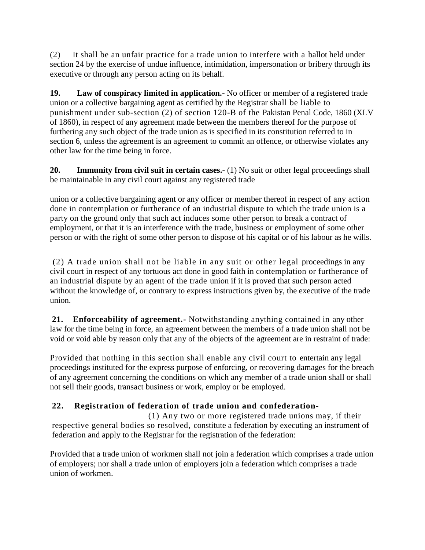(2) It shall be an unfair practice for a trade union to interfere with a ballot held under section 24 by the exercise of undue influence, intimidation, impersonation or bribery through its executive or through any person acting on its behalf.

**19. Law of conspiracy limited in application.-** No officer or member of a registered trade union or a collective bargaining agent as certified by the Registrar shall be liable to punishment under sub-section (2) of section 120-B of the Pakistan Penal Code, 1860 (XLV of 1860), in respect of any agreement made between the members thereof for the purpose of furthering any such object of the trade union as is specified in its constitution referred to in section 6, unless the agreement is an agreement to commit an offence, or otherwise violates any other law for the time being in force.

**20. Immunity from civil suit in certain cases.** (1) No suit or other legal proceedings shall be maintainable in any civil court against any registered trade

union or a collective bargaining agent or any officer or member thereof in respect of any action done in contemplation or furtherance of an industrial dispute to which the trade union is a party on the ground only that such act induces some other person to break a contract of employment, or that it is an interference with the trade, business or employment of some other person or with the right of some other person to dispose of his capital or of his labour as he wills.

(2) A trade union shall not be liable in any suit or other legal proceedings in any civil court in respect of any tortuous act done in good faith in contemplation or furtherance of an industrial dispute by an agent of the trade union if it is proved that such person acted without the knowledge of, or contrary to express instructions given by, the executive of the trade union.

**21. Enforceability of agreement.-** Notwithstanding anything contained in any other law for the time being in force, an agreement between the members of a trade union shall not be void or void able by reason only that any of the objects of the agreement are in restraint of trade:

Provided that nothing in this section shall enable any civil court to entertain any legal proceedings instituted for the express purpose of enforcing, or recovering damages for the breach of any agreement concerning the conditions on which any member of a trade union shall or shall not sell their goods, transact business or work, employ or be employed.

# **22. Registration of federation of trade union and confederation-**

(1) Any two or more registered trade unions may, if their respective general bodies so resolved, constitute a federation by executing an instrument of federation and apply to the Registrar for the registration of the federation:

Provided that a trade union of workmen shall not join a federation which comprises a trade union of employers; nor shall a trade union of employers join a federation which comprises a trade union of workmen.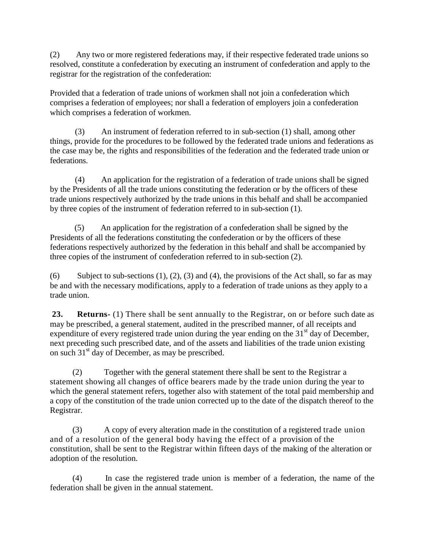(2) Any two or more registered federations may, if their respective federated trade unions so resolved, constitute a confederation by executing an instrument of confederation and apply to the registrar for the registration of the confederation:

Provided that a federation of trade unions of workmen shall not join a confederation which comprises a federation of employees; nor shall a federation of employers join a confederation which comprises a federation of workmen.

 (3) An instrument of federation referred to in sub-section (1) shall, among other things, provide for the procedures to be followed by the federated trade unions and federations as the case may be, the rights and responsibilities of the federation and the federated trade union or federations.

 (4) An application for the registration of a federation of trade unions shall be signed by the Presidents of all the trade unions constituting the federation or by the officers of these trade unions respectively authorized by the trade unions in this behalf and shall be accompanied by three copies of the instrument of federation referred to in sub-section (1).

 (5) An application for the registration of a confederation shall be signed by the Presidents of all the federations constituting the confederation or by the officers of these federations respectively authorized by the federation in this behalf and shall be accompanied by three copies of the instrument of confederation referred to in sub-section (2).

(6) Subject to sub-sections (1), (2), (3) and (4), the provisions of the Act shall, so far as may be and with the necessary modifications, apply to a federation of trade unions as they apply to a trade union.

**23. Returns-** (1) There shall be sent annually to the Registrar, on or before such date as may be prescribed, a general statement, audited in the prescribed manner, of all receipts and expenditure of every registered trade union during the year ending on the 31<sup>st</sup> day of December, next preceding such prescribed date, and of the assets and liabilities of the trade union existing on such 31st day of December, as may be prescribed.

(2) Together with the general statement there shall be sent to the Registrar a statement showing all changes of office bearers made by the trade union during the year to which the general statement refers, together also with statement of the total paid membership and a copy of the constitution of the trade union corrected up to the date of the dispatch thereof to the Registrar.

(3) A copy of every alteration made in the constitution of a registered trade union and of a resolution of the general body having the effect of a provision of the constitution, shall be sent to the Registrar within fifteen days of the making of the alteration or adoption of the resolution.

(4) In case the registered trade union is member of a federation, the name of the federation shall be given in the annual statement.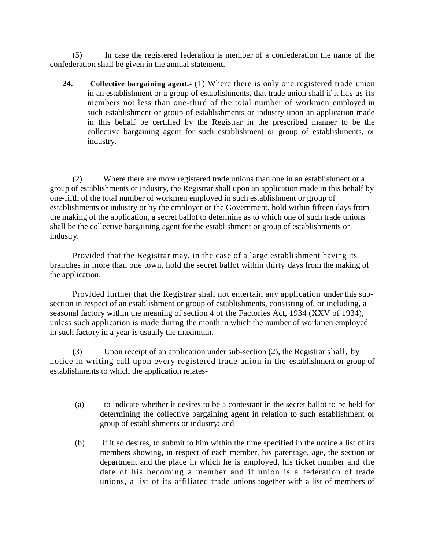(5) In case the registered federation is member of a confederation the name of the confederation shall be given in the annual statement.

**24. Collective bargaining agent.-** (1) Where there is only one registered trade union in an establishment or a group of establishments, that trade union shall if it has as its members not less than one-third of the total number of workmen employed in such establishment or group of establishments or industry upon an application made in this behalf be certified by the Registrar in the prescribed manner to be the collective bargaining agent for such establishment or group of establishments, or industry.

(2) Where there are more registered trade unions than one in an establishment or a group of establishments or industry, the Registrar shall upon an application made in this behalf by one-fifth of the total number of workmen employed in such establishment or group of establishments or industry or by the employer or the Government, hold within fifteen days from the making of the application, a secret ballot to determine as to which one of such trade unions shall be the collective bargaining agent for the establishment or group of establishments or industry.

Provided that the Registrar may, in the case of a large establishment having its branches in more than one town, hold the secret ballot within thirty days from the making of the application:

Provided further that the Registrar shall not entertain any application under this subsection in respect of an establishment or group of establishments, consisting of, or including, a seasonal factory within the meaning of section 4 of the Factories Act, 1934 (XXV of 1934), unless such application is made during the month in which the number of workmen employed in such factory in a year is usually the maximum.

(3) Upon receipt of an application under sub-section (2), the Registrar shall, by notice in writing call upon every registered trade union in the establishment or group of establishments to which the application relates-

- (a) to indicate whether it desires to be a contestant in the secret ballot to be held for determining the collective bargaining agent in relation to such establishment or group of establishments or industry; and
- (b) if it so desires, to submit to him within the time specified in the notice a list of its members showing, in respect of each member, his parentage, age, the section or department and the place in which he is employed, his ticket number and the date of his becoming a member and if union is a federation of trade unions, a list of its affiliated trade unions together with a list of members of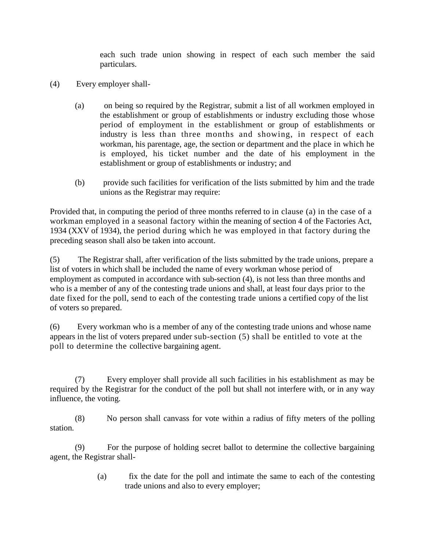each such trade union showing in respect of each such member the said particulars.

- (4) Every employer shall-
	- (a) on being so required by the Registrar, submit a list of all workmen employed in the establishment or group of establishments or industry excluding those whose period of employment in the establishment or group of establishments or industry is less than three months and showing, in respect of each workman, his parentage, age, the section or department and the place in which he is employed, his ticket number and the date of his employment in the establishment or group of establishments or industry; and
	- (b) provide such facilities for verification of the lists submitted by him and the trade unions as the Registrar may require:

Provided that, in computing the period of three months referred to in clause (a) in the case of a workman employed in a seasonal factory within the meaning of section 4 of the Factories Act, 1934 (XXV of 1934), the period during which he was employed in that factory during the preceding season shall also be taken into account.

(5) The Registrar shall, after verification of the lists submitted by the trade unions, prepare a list of voters in which shall be included the name of every workman whose period of employment as computed in accordance with sub-section (4), is not less than three months and who is a member of any of the contesting trade unions and shall, at least four days prior to the date fixed for the poll, send to each of the contesting trade unions a certified copy of the list of voters so prepared.

(6) Every workman who is a member of any of the contesting trade unions and whose name appears in the list of voters prepared under sub-section (5) shall be entitled to vote at the poll to determine the collective bargaining agent.

(7) Every employer shall provide all such facilities in his establishment as may be required by the Registrar for the conduct of the poll but shall not interfere with, or in any way influence, the voting.

(8) No person shall canvass for vote within a radius of fifty meters of the polling station.

(9) For the purpose of holding secret ballot to determine the collective bargaining agent, the Registrar shall-

> (a) fix the date for the poll and intimate the same to each of the contesting trade unions and also to every employer;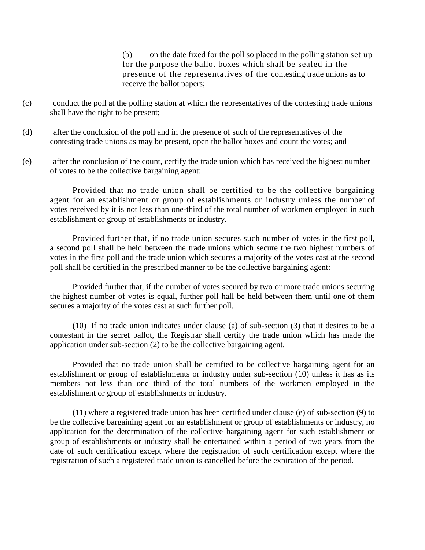(b) on the date fixed for the poll so placed in the polling station set up for the purpose the ballot boxes which shall be sealed in the presence of the representatives of the contesting trade unions as to receive the ballot papers;

- (c) conduct the poll at the polling station at which the representatives of the contesting trade unions shall have the right to be present;
- (d) after the conclusion of the poll and in the presence of such of the representatives of the contesting trade unions as may be present, open the ballot boxes and count the votes; and
- (e) after the conclusion of the count, certify the trade union which has received the highest number of votes to be the collective bargaining agent:

Provided that no trade union shall be certified to be the collective bargaining agent for an establishment or group of establishments or industry unless the number of votes received by it is not less than one-third of the total number of workmen employed in such establishment or group of establishments or industry.

Provided further that, if no trade union secures such number of votes in the first poll, a second poll shall be held between the trade unions which secure the two highest numbers of votes in the first poll and the trade union which secures a majority of the votes cast at the second poll shall be certified in the prescribed manner to be the collective bargaining agent:

Provided further that, if the number of votes secured by two or more trade unions securing the highest number of votes is equal, further poll hall be held between them until one of them secures a majority of the votes cast at such further poll.

(10) If no trade union indicates under clause (a) of sub-section (3) that it desires to be a contestant in the secret ballot, the Registrar shall certify the trade union which has made the application under sub-section (2) to be the collective bargaining agent.

Provided that no trade union shall be certified to be collective bargaining agent for an establishment or group of establishments or industry under sub-section (10) unless it has as its members not less than one third of the total numbers of the workmen employed in the establishment or group of establishments or industry.

(11) where a registered trade union has been certified under clause (e) of sub-section (9) to be the collective bargaining agent for an establishment or group of establishments or industry, no application for the determination of the collective bargaining agent for such establishment or group of establishments or industry shall be entertained within a period of two years from the date of such certification except where the registration of such certification except where the registration of such a registered trade union is cancelled before the expiration of the period.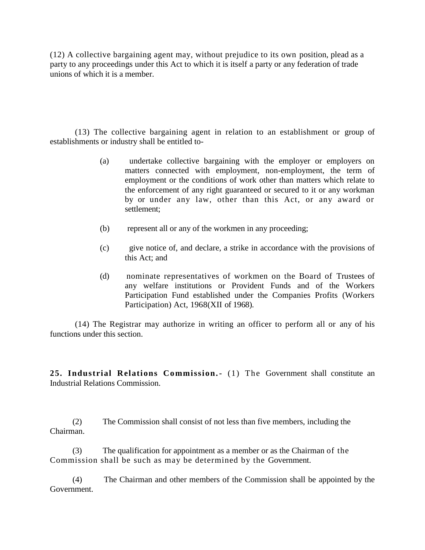(12) A collective bargaining agent may, without prejudice to its own position, plead as a party to any proceedings under this Act to which it is itself a party or any federation of trade unions of which it is a member.

(13) The collective bargaining agent in relation to an establishment or group of establishments or industry shall be entitled to-

- (a) undertake collective bargaining with the employer or employers on matters connected with employment, non-employment, the term of employment or the conditions of work other than matters which relate to the enforcement of any right guaranteed or secured to it or any workman by or under any law, other than this Act, or any award or settlement;
- (b) represent all or any of the workmen in any proceeding;
- (c) give notice of, and declare, a strike in accordance with the provisions of this Act; and
- (d) nominate representatives of workmen on the Board of Trustees of any welfare institutions or Provident Funds and of the Workers Participation Fund established under the Companies Profits (Workers Participation) Act, 1968(XII of 1968).

(14) The Registrar may authorize in writing an officer to perform all or any of his functions under this section.

**25. Industrial Relations Commission.-** (1) The Government shall constitute an Industrial Relations Commission.

(2) The Commission shall consist of not less than five members, including the Chairman.

(3) The qualification for appointment as a member or as the Chairman of the Commission shall be such as may be determined by the Government.

(4) The Chairman and other members of the Commission shall be appointed by the Government.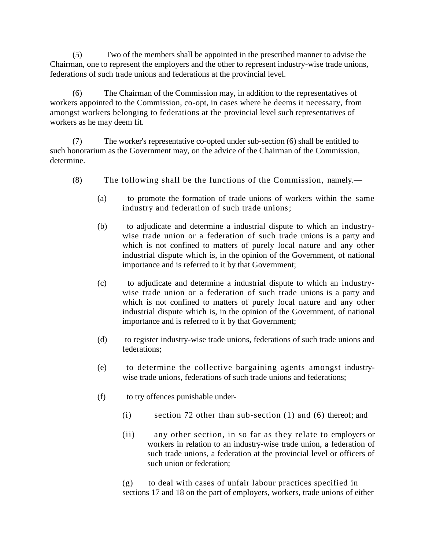(5) Two of the members shall be appointed in the prescribed manner to advise the Chairman, one to represent the employers and the other to represent industry-wise trade unions, federations of such trade unions and federations at the provincial level.

(6) The Chairman of the Commission may, in addition to the representatives of workers appointed to the Commission, co-opt, in cases where he deems it necessary, from amongst workers belonging to federations at the provincial level such representatives of workers as he may deem fit.

(7) The worker's representative co-opted under sub-section (6) shall be entitled to such honorarium as the Government may, on the advice of the Chairman of the Commission, determine.

- (8) The following shall be the functions of the Commission, namely.—
	- (a) to promote the formation of trade unions of workers within the same industry and federation of such trade unions;
	- (b) to adjudicate and determine a industrial dispute to which an industrywise trade union or a federation of such trade unions is a party and which is not confined to matters of purely local nature and any other industrial dispute which is, in the opinion of the Government, of national importance and is referred to it by that Government;
	- (c) to adjudicate and determine a industrial dispute to which an industrywise trade union or a federation of such trade unions is a party and which is not confined to matters of purely local nature and any other industrial dispute which is, in the opinion of the Government, of national importance and is referred to it by that Government;
	- (d) to register industry-wise trade unions, federations of such trade unions and federations;
	- (e) to determine the collective bargaining agents amongst industrywise trade unions, federations of such trade unions and federations;
	- (f) to try offences punishable under-
		- (i) section 72 other than sub-section (1) and (6) thereof; and
		- (ii) any other section, in so far as they relate to employers or workers in relation to an industry-wise trade union, a federation of such trade unions, a federation at the provincial level or officers of such union or federation;

(g) to deal with cases of unfair labour practices specified in sections 17 and 18 on the part of employers, workers, trade unions of either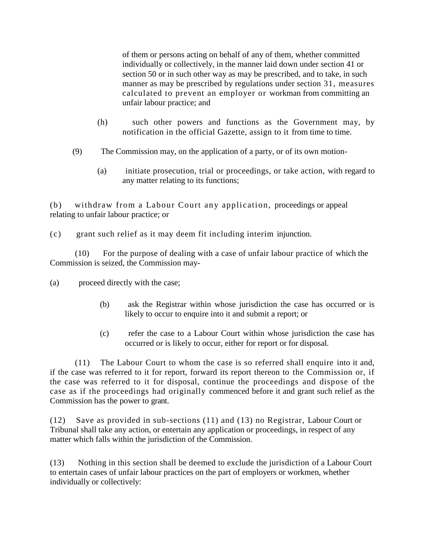of them or persons acting on behalf of any of them, whether committed individually or collectively, in the manner laid down under section 41 or section 50 or in such other way as may be prescribed, and to take, in such manner as may be prescribed by regulations under section 31, measures calculated to prevent an employer or workman from committing an unfair labour practice; and

- (h) such other powers and functions as the Government may, by notification in the official Gazette, assign to it from time to time.
- (9) The Commission may, on the application of a party, or of its own motion-
	- (a) initiate prosecution, trial or proceedings, or take action, with regard to any matter relating to its functions;

(b) withdraw from a Labour Court any application, proceedings or appeal relating to unfair labour practice; or

(c) grant such relief as it may deem fit including interim injunction.

(10) For the purpose of dealing with a case of unfair labour practice of which the Commission is seized, the Commission may-

(a) proceed directly with the case;

- (b) ask the Registrar within whose jurisdiction the case has occurred or is likely to occur to enquire into it and submit a report; or
- (c) refer the case to a Labour Court within whose jurisdiction the case has occurred or is likely to occur, either for report or for disposal.

(11) The Labour Court to whom the case is so referred shall enquire into it and, if the case was referred to it for report, forward its report thereon to the Commission or, if the case was referred to it for disposal, continue the proceedings and dispose of the case as if the proceedings had originally commenced before it and grant such relief as the Commission has the power to grant.

(12) Save as provided in sub-sections (11) and (13) no Registrar, Labour Court or Tribunal shall take any action, or entertain any application or proceedings, in respect of any matter which falls within the jurisdiction of the Commission.

(13) Nothing in this section shall be deemed to exclude the jurisdiction of a Labour Court to entertain cases of unfair labour practices on the part of employers or workmen, whether individually or collectively: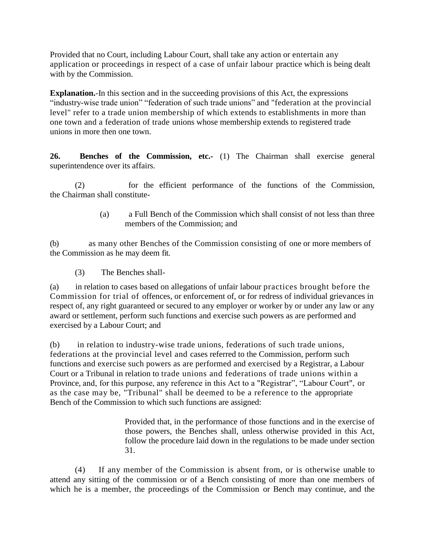Provided that no Court, including Labour Court, shall take any action or entertain any application or proceedings in respect of a case of unfair labour practice which is being dealt with by the Commission.

**Explanation.**-In this section and in the succeeding provisions of this Act, the expressions "industry-wise trade union" "federation of such trade unions" and "federation at the provincial level" refer to a trade union membership of which extends to establishments in more than one town and a federation of trade unions whose membership extends to registered trade unions in more then one town.

**26. Benches of the Commission, etc.-** (1) The Chairman shall exercise general superintendence over its affairs.

(2) for the efficient performance of the functions of the Commission, the Chairman shall constitute-

> (a) a Full Bench of the Commission which shall consist of not less than three members of the Commission; and

(b) as many other Benches of the Commission consisting of one or more members of the Commission as he may deem fit.

(3) The Benches shall-

(a) in relation to cases based on allegations of unfair labour practices brought before the Commission for trial of offences, or enforcement of, or for redress of individual grievances in respect of, any right guaranteed or secured to any employer or worker by or under any law or any award or settlement, perform such functions and exercise such powers as are performed and exercised by a Labour Court; and

(b) in relation to industry-wise trade unions, federations of such trade unions, federations at the provincial level and cases referred to the Commission, perform such functions and exercise such powers as are performed and exercised by a Registrar, a Labour Court or a Tribunal in relation to trade unions and federations of trade unions within a Province, and, for this purpose, any reference in this Act to a "Registrar", "Labour Court", or as the case may be, "Tribunal" shall be deemed to be a reference to the appropriate Bench of the Commission to which such functions are assigned:

> Provided that, in the performance of those functions and in the exercise of those powers, the Benches shall, unless otherwise provided in this Act, follow the procedure laid down in the regulations to be made under section 31.

(4) If any member of the Commission is absent from, or is otherwise unable to attend any sitting of the commission or of a Bench consisting of more than one members of which he is a member, the proceedings of the Commission or Bench may continue, and the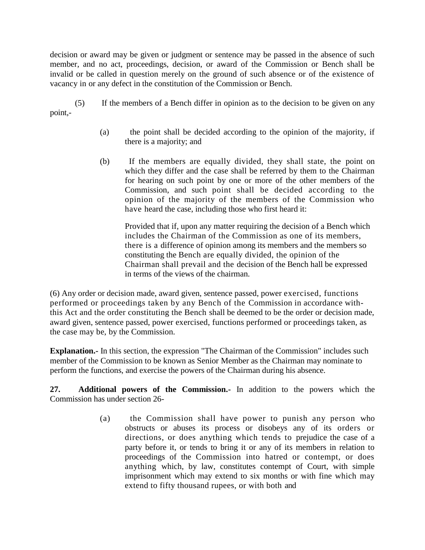decision or award may be given or judgment or sentence may be passed in the absence of such member, and no act, proceedings, decision, or award of the Commission or Bench shall be invalid or be called in question merely on the ground of such absence or of the existence of vacancy in or any defect in the constitution of the Commission or Bench.

- (5) If the members of a Bench differ in opinion as to the decision to be given on any point,-
	- (a) the point shall be decided according to the opinion of the majority, if there is a majority; and
	- (b) If the members are equally divided, they shall state, the point on which they differ and the case shall be referred by them to the Chairman for hearing on such point by one or more of the other members of the Commission, and such point shall be decided according to the opinion of the majority of the members of the Commission who have heard the case, including those who first heard it:

Provided that if, upon any matter requiring the decision of a Bench which includes the Chairman of the Commission as one of its members, there is a difference of opinion among its members and the members so constituting the Bench are equally divided, the opinion of the Chairman shall prevail and the decision of the Bench hall be expressed in terms of the views of the chairman.

(6) Any order or decision made, award given, sentence passed, power exercised, functions performed or proceedings taken by any Bench of the Commission in accordance withthis Act and the order constituting the Bench shall be deemed to be the order or decision made, award given, sentence passed, power exercised, functions performed or proceedings taken, as the case may be, by the Commission.

**Explanation.-** In this section, the expression "The Chairman of the Commission" includes such member of the Commission to be known as Senior Member as the Chairman may nominate to perform the functions, and exercise the powers of the Chairman during his absence.

**27. Additional powers of the Commission.-** In addition to the powers which the Commission has under section 26-

> (a) the Commission shall have power to punish any person who obstructs or abuses its process or disobeys any of its orders or directions, or does anything which tends to prejudice the case of a party before it, or tends to bring it or any of its members in relation to proceedings of the Commission into hatred or contempt, or does anything which, by law, constitutes contempt of Court, with simple imprisonment which may extend to six months or with fine which may extend to fifty thousand rupees, or with both and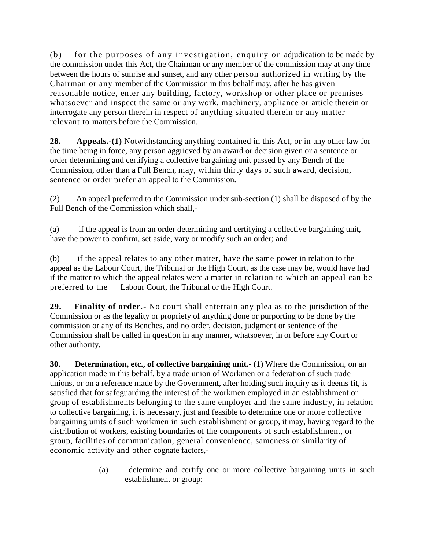(b) for the purposes of any investigation, enquiry or adjudication to be made by the commission under this Act, the Chairman or any member of the commission may at any time between the hours of sunrise and sunset, and any other person authorized in writing by the Chairman or any member of the Commission in this behalf may, after he has given reasonable notice, enter any building, factory, workshop or other place or premises whatsoever and inspect the same or any work, machinery, appliance or article therein or interrogate any person therein in respect of anything situated therein or any matter relevant to matters before the Commission.

**28. Appeals.-(1)** Notwithstanding anything contained in this Act, or in any other law for the time being in force, any person aggrieved by an award or decision given or a sentence or order determining and certifying a collective bargaining unit passed by any Bench of the Commission, other than a Full Bench, may, within thirty days of such award, decision, sentence or order prefer an appeal to the Commission.

(2) An appeal preferred to the Commission under sub-section (1) shall be disposed of by the Full Bench of the Commission which shall,-

(a) if the appeal is from an order determining and certifying a collective bargaining unit, have the power to confirm, set aside, vary or modify such an order; and

(b) if the appeal relates to any other matter, have the same power in relation to the appeal as the Labour Court, the Tribunal or the High Court, as the case may be, would have had if the matter to which the appeal relates were a matter in relation to which an appeal can be preferred to the Labour Court, the Tribunal or the High Court.

**29. Finality of order.-** No court shall entertain any plea as to the jurisdiction of the Commission or as the legality or propriety of anything done or purporting to be done by the commission or any of its Benches, and no order, decision, judgment or sentence of the Commission shall be called in question in any manner, whatsoever, in or before any Court or other authority.

**30. Determination, etc., of collective bargaining unit.-** (1) Where the Commission, on an application made in this behalf, by a trade union of Workmen or a federation of such trade unions, or on a reference made by the Government, after holding such inquiry as it deems fit, is satisfied that for safeguarding the interest of the workmen employed in an establishment or group of establishments belonging to the same employer and the same industry, in relation to collective bargaining, it is necessary, just and feasible to determine one or more collective bargaining units of such workmen in such establishment or group, it may, having regard to the distribution of workers, existing boundaries of the components of such establishment, or group, facilities of communication, general convenience, sameness or similarity of economic activity and other cognate factors,-

> (a) determine and certify one or more collective bargaining units in such establishment or group;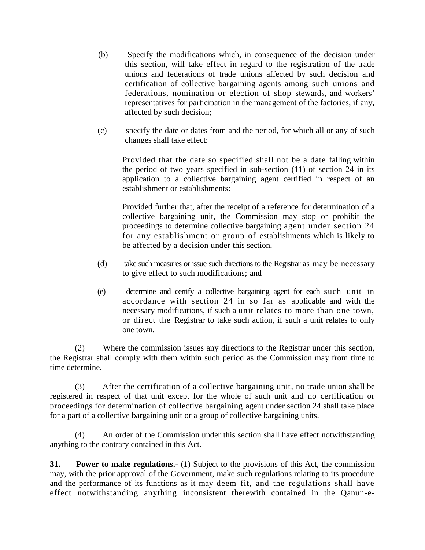- (b) Specify the modifications which, in consequence of the decision under this section, will take effect in regard to the registration of the trade unions and federations of trade unions affected by such decision and certification of collective bargaining agents among such unions and federations, nomination or election of shop stewards, and workers' representatives for participation in the management of the factories, if any, affected by such decision;
- (c) specify the date or dates from and the period, for which all or any of such changes shall take effect:

Provided that the date so specified shall not be a date falling within the period of two years specified in sub-section (11) of section 24 in its application to a collective bargaining agent certified in respect of an establishment or establishments:

Provided further that, after the receipt of a reference for determination of a collective bargaining unit, the Commission may stop or prohibit the proceedings to determine collective bargaining agent under section 24 for any establishment or group of establishments which is likely to be affected by a decision under this section,

- (d) take such measures or issue such directions to the Registrar as may be necessary to give effect to such modifications; and
- (e) determine and certify a collective bargaining agent for each such unit in accordance with section 24 in so far as applicable and with the necessary modifications, if such a unit relates to more than one town, or direct the Registrar to take such action, if such a unit relates to only one town.

(2) Where the commission issues any directions to the Registrar under this section, the Registrar shall comply with them within such period as the Commission may from time to time determine.

(3) After the certification of a collective bargaining unit, no trade union shall be registered in respect of that unit except for the whole of such unit and no certification or proceedings for determination of collective bargaining agent under section 24 shall take place for a part of a collective bargaining unit or a group of collective bargaining units.

(4) An order of the Commission under this section shall have effect notwithstanding anything to the contrary contained in this Act.

**31. Power to make regulations.-** (1) Subject to the provisions of this Act, the commission may, with the prior approval of the Government, make such regulations relating to its procedure and the performance of its functions as it may deem fit, and the regulations shall have effect notwithstanding anything inconsistent therewith contained in the Qanun-e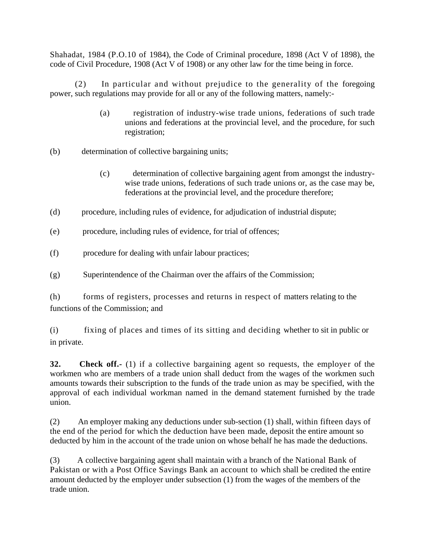Shahadat, 1984 (P.O.10 of 1984), the Code of Criminal procedure, 1898 (Act V of 1898), the code of Civil Procedure, 1908 (Act V of 1908) or any other law for the time being in force.

(2) In particular and without prejudice to the generality of the foregoing power, such regulations may provide for all or any of the following matters, namely:-

- (a) registration of industry-wise trade unions, federations of such trade unions and federations at the provincial level, and the procedure, for such registration;
- (b) determination of collective bargaining units;
	- (c) determination of collective bargaining agent from amongst the industrywise trade unions, federations of such trade unions or, as the case may be, federations at the provincial level, and the procedure therefore;
- (d) procedure, including rules of evidence, for adjudication of industrial dispute;
- (e) procedure, including rules of evidence, for trial of offences;
- (f) procedure for dealing with unfair labour practices;
- (g) Superintendence of the Chairman over the affairs of the Commission;

(h) forms of registers, processes and returns in respect of matters relating to the functions of the Commission; and

(i) fixing of places and times of its sitting and deciding whether to sit in public or in private.

**32. Check off.-** (1) if a collective bargaining agent so requests, the employer of the workmen who are members of a trade union shall deduct from the wages of the workmen such amounts towards their subscription to the funds of the trade union as may be specified, with the approval of each individual workman named in the demand statement furnished by the trade union.

(2) An employer making any deductions under sub-section (1) shall, within fifteen days of the end of the period for which the deduction have been made, deposit the entire amount so deducted by him in the account of the trade union on whose behalf he has made the deductions.

(3) A collective bargaining agent shall maintain with a branch of the National Bank of Pakistan or with a Post Office Savings Bank an account to which shall be credited the entire amount deducted by the employer under subsection (1) from the wages of the members of the trade union.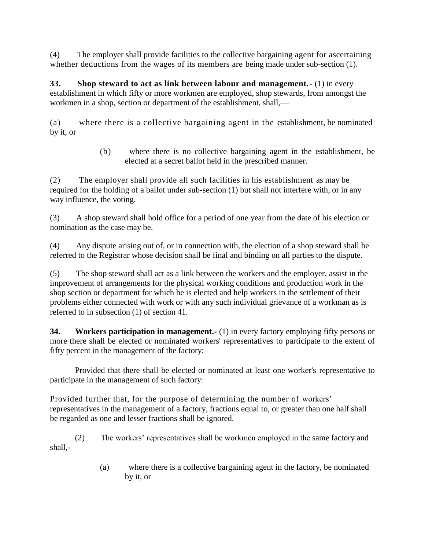(4) The employer shall provide facilities to the collective bargaining agent for ascertaining whether deductions from the wages of its members are being made under sub-section (1).

**33. Shop steward to act as link between labour and management.-** (1) in every establishment in which fifty or more workmen are employed, shop stewards, from amongst the workmen in a shop, section or department of the establishment, shall,—

(a) where there is a collective bargaining agent in the establishment, be nominated by it, or

> (b) where there is no collective bargaining agent in the establishment, be elected at a secret ballot held in the prescribed manner.

(2) The employer shall provide all such facilities in his establishment as may be required for the holding of a ballot under sub-section (1) but shall not interfere with, or in any way influence, the voting.

(3) A shop steward shall hold office for a period of one year from the date of his election or nomination as the case may be.

(4) Any dispute arising out of, or in connection with, the election of a shop steward shall be referred to the Registrar whose decision shall be final and binding on all parties to the dispute.

(5) The shop steward shall act as a link between the workers and the employer, assist in the improvement of arrangements for the physical working conditions and production work in the shop section or department for which he is elected and help workers in the settlement of their problems either connected with work or with any such individual grievance of a workman as is referred to in subsection (1) of section 41.

**34. Workers participation in management.-** (1) in every factory employing fifty persons or more there shall be elected or nominated workers' representatives to participate to the extent of fifty percent in the management of the factory:

Provided that there shall be elected or nominated at least one worker's representative to participate in the management of such factory:

Provided further that, for the purpose of determining the number of workers' representatives in the management of a factory, fractions equal to, or greater than one half shall be regarded as one and lesser fractions shall be ignored.

(2) The workers' representatives shall be workmen employed in the same factory and shall,-

> (a) where there is a collective bargaining agent in the factory, be nominated by it, or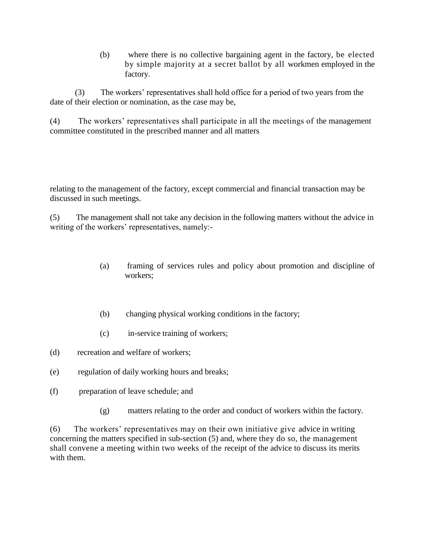(b) where there is no collective bargaining agent in the factory, be elected by simple majority at a secret ballot by all workmen employed in the factory.

(3) The workers' representatives shall hold office for a period of two years from the date of their election or nomination, as the case may be,

(4) The workers' representatives shall participate in all the meetings of the management committee constituted in the prescribed manner and all matters

relating to the management of the factory, except commercial and financial transaction may be discussed in such meetings.

(5) The management shall not take any decision in the following matters without the advice in writing of the workers' representatives, namely:-

- (a) framing of services rules and policy about promotion and discipline of workers;
- (b) changing physical working conditions in the factory;
- (c) in-service training of workers;
- (d) recreation and welfare of workers;
- (e) regulation of daily working hours and breaks;
- (f) preparation of leave schedule; and
	- (g) matters relating to the order and conduct of workers within the factory.

(6) The workers' representatives may on their own initiative give advice in writing concerning the matters specified in sub-section (5) and, where they do so, the management shall convene a meeting within two weeks of the receipt of the advice to discuss its merits with them.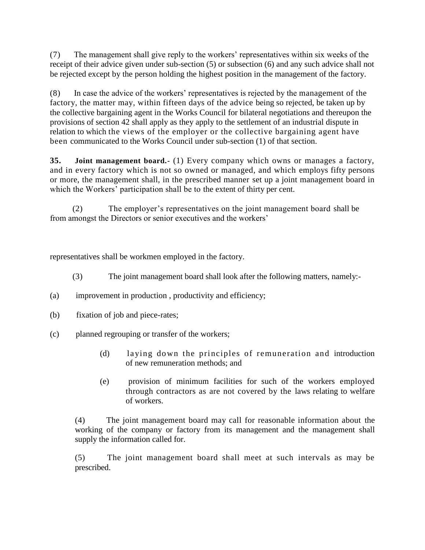(7) The management shall give reply to the workers' representatives within six weeks of the receipt of their advice given under sub-section (5) or subsection (6) and any such advice shall not be rejected except by the person holding the highest position in the management of the factory.

(8) In case the advice of the workers' representatives is rejected by the management of the factory, the matter may, within fifteen days of the advice being so rejected, be taken up by the collective bargaining agent in the Works Council for bilateral negotiations and thereupon the provisions of section 42 shall apply as they apply to the settlement of an industrial dispute in relation to which the views of the employer or the collective bargaining agent have been communicated to the Works Council under sub-section (1) of that section.

**35. Joint management board.-** (1) Every company which owns or manages a factory, and in every factory which is not so owned or managed, and which employs fifty persons or more, the management shall, in the prescribed manner set up a joint management board in which the Workers' participation shall be to the extent of thirty per cent.

(2) The employer's representatives on the joint management board shall be from amongst the Directors or senior executives and the workers'

representatives shall be workmen employed in the factory.

- (3) The joint management board shall look after the following matters, namely:-
- (a) improvement in production , productivity and efficiency;
- (b) fixation of job and piece-rates;
- (c) planned regrouping or transfer of the workers;
	- (d) laying down the principles of remuneration and introduction of new remuneration methods; and
	- (e) provision of minimum facilities for such of the workers employed through contractors as are not covered by the laws relating to welfare of workers.

(4) The joint management board may call for reasonable information about the working of the company or factory from its management and the management shall supply the information called for.

(5) The joint management board shall meet at such intervals as may be prescribed.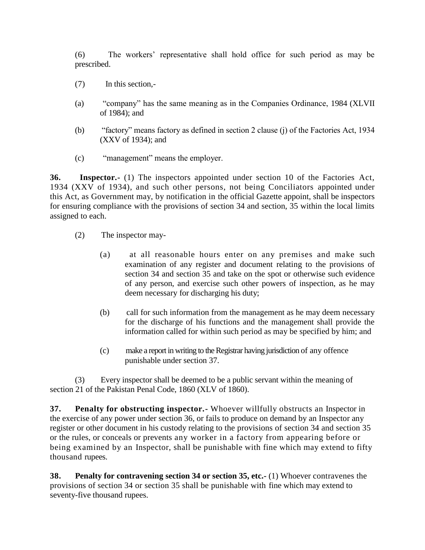(6) The workers' representative shall hold office for such period as may be prescribed.

- (7) In this section,-
- (a) "company" has the same meaning as in the Companies Ordinance, 1984 (XLVII of 1984); and
- (b) "factory" means factory as defined in section 2 clause (j) of the Factories Act, 1934 (XXV of 1934); and
- (c) "management" means the employer.

**36. Inspector.-** (1) The inspectors appointed under section 10 of the Factories Act, 1934 (XXV of 1934), and such other persons, not being Conciliators appointed under this Act, as Government may, by notification in the official Gazette appoint, shall be inspectors for ensuring compliance with the provisions of section 34 and section, 35 within the local limits assigned to each.

- (2) The inspector may-
	- (a) at all reasonable hours enter on any premises and make such examination of any register and document relating to the provisions of section 34 and section 35 and take on the spot or otherwise such evidence of any person, and exercise such other powers of inspection, as he may deem necessary for discharging his duty;
	- (b) call for such information from the management as he may deem necessary for the discharge of his functions and the management shall provide the information called for within such period as may be specified by him; and
	- (c) make a report in writing to the Registrar having jurisdiction of any offence punishable under section 37.

(3) Every inspector shall be deemed to be a public servant within the meaning of section 21 of the Pakistan Penal Code, 1860 (XLV of 1860).

**37. Penalty for obstructing inspector.-** Whoever willfully obstructs an Inspector in the exercise of any power under section 36, or fails to produce on demand by an Inspector any register or other document in his custody relating to the provisions of section 34 and section 35 or the rules, or conceals or prevents any worker in a factory from appearing before or being examined by an Inspector, shall be punishable with fine which may extend to fifty thousand rupees.

**38. Penalty for contravening section 34 or section 35, etc.-** (1) Whoever contravenes the provisions of section 34 or section 35 shall be punishable with fine which may extend to seventy-five thousand rupees.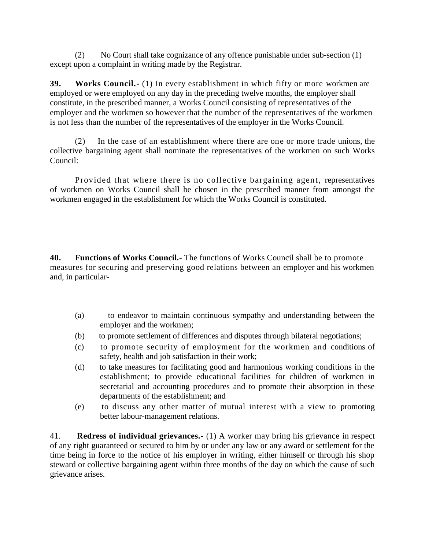(2) No Court shall take cognizance of any offence punishable under sub-section (1) except upon a complaint in writing made by the Registrar.

**39. Works Council.-** (1) In every establishment in which fifty or more workmen are employed or were employed on any day in the preceding twelve months, the employer shall constitute, in the prescribed manner, a Works Council consisting of representatives of the employer and the workmen so however that the number of the representatives of the workmen is not less than the number of the representatives of the employer in the Works Council.

(2) In the case of an establishment where there are one or more trade unions, the collective bargaining agent shall nominate the representatives of the workmen on such Works Council:

Provided that where there is no collective bargaining agent, representatives of workmen on Works Council shall be chosen in the prescribed manner from amongst the workmen engaged in the establishment for which the Works Council is constituted.

**40. Functions of Works Council.-** The functions of Works Council shall be to promote measures for securing and preserving good relations between an employer and his workmen and, in particular-

- (a) to endeavor to maintain continuous sympathy and understanding between the employer and the workmen;
- (b) to promote settlement of differences and disputes through bilateral negotiations;
- (c) to promote security of employment for the workmen and conditions of safety, health and job satisfaction in their work;
- (d) to take measures for facilitating good and harmonious working conditions in the establishment; to provide educational facilities for children of workmen in secretarial and accounting procedures and to promote their absorption in these departments of the establishment; and
- (e) to discuss any other matter of mutual interest with a view to promoting better labour-management relations.

41. **Redress of individual grievances.-** (1) A worker may bring his grievance in respect of any right guaranteed or secured to him by or under any law or any award or settlement for the time being in force to the notice of his employer in writing, either himself or through his shop steward or collective bargaining agent within three months of the day on which the cause of such grievance arises.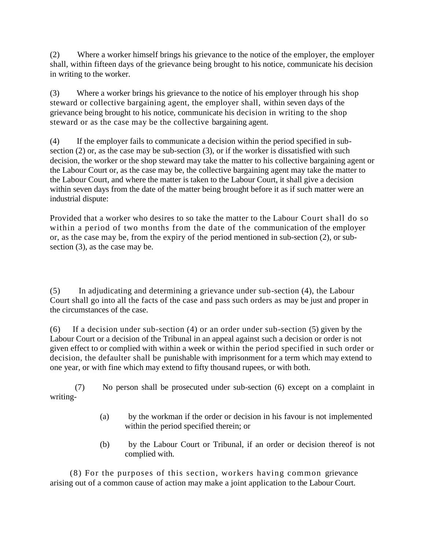(2) Where a worker himself brings his grievance to the notice of the employer, the employer shall, within fifteen days of the grievance being brought to his notice, communicate his decision in writing to the worker.

(3) Where a worker brings his grievance to the notice of his employer through his shop steward or collective bargaining agent, the employer shall, within seven days of the grievance being brought to his notice, communicate his decision in writing to the shop steward or as the case may be the collective bargaining agent.

(4) If the employer fails to communicate a decision within the period specified in subsection (2) or, as the case may be sub-section (3), or if the worker is dissatisfied with such decision, the worker or the shop steward may take the matter to his collective bargaining agent or the Labour Court or, as the case may be, the collective bargaining agent may take the matter to the Labour Court, and where the matter is taken to the Labour Court, it shall give a decision within seven days from the date of the matter being brought before it as if such matter were an industrial dispute:

Provided that a worker who desires to so take the matter to the Labour Court shall do so within a period of two months from the date of the communication of the employer or, as the case may be, from the expiry of the period mentioned in sub-section (2), or subsection (3), as the case may be.

(5) In adjudicating and determining a grievance under sub-section (4), the Labour Court shall go into all the facts of the case and pass such orders as may be just and proper in the circumstances of the case.

(6) If a decision under sub-section (4) or an order under sub-section (5) given by the Labour Court or a decision of the Tribunal in an appeal against such a decision or order is not given effect to or complied with within a week or within the period specified in such order or decision, the defaulter shall be punishable with imprisonment for a term which may extend to one year, or with fine which may extend to fifty thousand rupees, or with both.

(7) No person shall be prosecuted under sub-section (6) except on a complaint in writing-

- (a) by the workman if the order or decision in his favour is not implemented within the period specified therein; or
- (b) by the Labour Court or Tribunal, if an order or decision thereof is not complied with.

(8) For the purposes of this section, workers having common grievance arising out of a common cause of action may make a joint application to the Labour Court.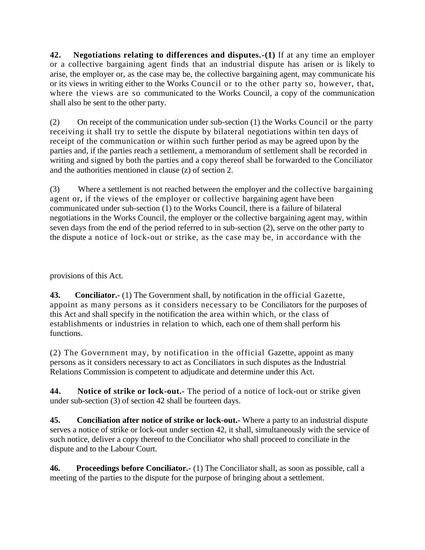**42. Negotiations relating to differences and disputes.-(1)** If at any time an employer or a collective bargaining agent finds that an industrial dispute has arisen or is likely to arise, the employer or, as the case may be, the collective bargaining agent, may communicate his or its views in writing either to the Works Council or to the other party so, however, that, where the views are so communicated to the Works Council, a copy of the communication shall also be sent to the other party.

(2) On receipt of the communication under sub-section (1) the Works Council or the party receiving it shall try to settle the dispute by bilateral negotiations within ten days of receipt of the communication or within such further period as may be agreed upon by the parties and, if the parties reach a settlement, a memorandum of settlement shall be recorded in writing and signed by both the parties and a copy thereof shall be forwarded to the Conciliator and the authorities mentioned in clause (z) of section 2.

(3) Where a settlement is not reached between the employer and the collective bargaining agent or, if the views of the employer or collective bargaining agent have been communicated under sub-section (1) to the Works Council, there is a failure of bilateral negotiations in the Works Council, the employer or the collective bargaining agent may, within seven days from the end of the period referred to in sub-section (2), serve on the other party to the dispute a notice of lock-out or strike, as the case may be, in accordance with the

provisions of this Act.

**43. Conciliator.-** (1) The Government shall, by notification in the official Gazette, appoint as many persons as it considers necessary to be Conciliators for the purposes of this Act and shall specify in the notification the area within which, or the class of establishments or industries in relation to which, each one of them shall perform his functions.

(2) The Government may, by notification in the official Gazette, appoint as many persons as it considers necessary to act as Conciliators in such disputes as the Industrial Relations Commission is competent to adjudicate and determine under this Act.

**44. Notice of strike or lock-out.-** The period of a notice of lock-out or strike given under sub-section (3) of section 42 shall be fourteen days.

**45. Conciliation after notice of strike or lock-out.-** Where a party to an industrial dispute serves a notice of strike or lock-out under section 42, it shall, simultaneously with the service of such notice, deliver a copy thereof to the Conciliator who shall proceed to conciliate in the dispute and to the Labour Court.

**46. Proceedings before Conciliator.-** (1) The Conciliator shall, as soon as possible, call a meeting of the parties to the dispute for the purpose of bringing about a settlement.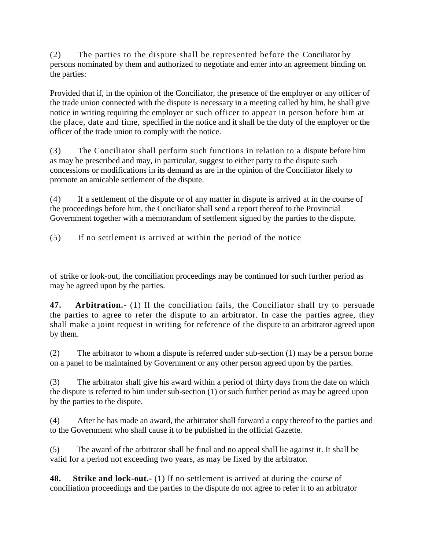(2) The parties to the dispute shall be represented before the Conciliator by persons nominated by them and authorized to negotiate and enter into an agreement binding on the parties:

Provided that if, in the opinion of the Conciliator, the presence of the employer or any officer of the trade union connected with the dispute is necessary in a meeting called by him, he shall give notice in writing requiring the employer or such officer to appear in person before him at the place, date and time, specified in the notice and it shall be the duty of the employer or the officer of the trade union to comply with the notice.

(3) The Conciliator shall perform such functions in relation to a dispute before him as may be prescribed and may, in particular, suggest to either party to the dispute such concessions or modifications in its demand as are in the opinion of the Conciliator likely to promote an amicable settlement of the dispute.

(4) If a settlement of the dispute or of any matter in dispute is arrived at in the course of the proceedings before him, the Conciliator shall send a report thereof to the Provincial Government together with a memorandum of settlement signed by the parties to the dispute.

(5) If no settlement is arrived at within the period of the notice

of strike or look-out, the conciliation proceedings may be continued for such further period as may be agreed upon by the parties.

**47. Arbitration.-** (1) If the conciliation fails, the Conciliator shall try to persuade the parties to agree to refer the dispute to an arbitrator. In case the parties agree, they shall make a joint request in writing for reference of the dispute to an arbitrator agreed upon by them.

(2) The arbitrator to whom a dispute is referred under sub-section (1) may be a person borne on a panel to be maintained by Government or any other person agreed upon by the parties.

(3) The arbitrator shall give his award within a period of thirty days from the date on which the dispute is referred to him under sub-section (1) or such further period as may be agreed upon by the parties to the dispute.

(4) After he has made an award, the arbitrator shall forward a copy thereof to the parties and to the Government who shall cause it to be published in the official Gazette.

(5) The award of the arbitrator shall be final and no appeal shall lie against it. It shall be valid for a period not exceeding two years, as may be fixed by the arbitrator.

**48. Strike and lock-out.-** (1) If no settlement is arrived at during the course of conciliation proceedings and the parties to the dispute do not agree to refer it to an arbitrator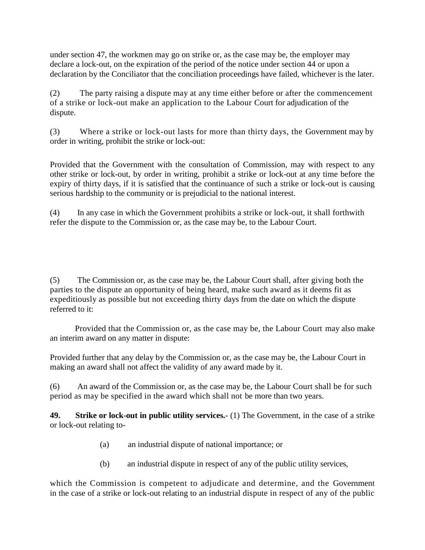under section 47, the workmen may go on strike or, as the case may be, the employer may declare a lock-out, on the expiration of the period of the notice under section 44 or upon a declaration by the Conciliator that the conciliation proceedings have failed, whichever is the later.

(2) The party raising a dispute may at any time either before or after the commencement of a strike or lock-out make an application to the Labour Court for adjudication of the dispute.

(3) Where a strike or lock-out lasts for more than thirty days, the Government may by order in writing, prohibit the strike or lock-out:

Provided that the Government with the consultation of Commission, may with respect to any other strike or lock-out, by order in writing, prohibit a strike or lock-out at any time before the expiry of thirty days, if it is satisfied that the continuance of such a strike or lock-out is causing serious hardship to the community or is prejudicial to the national interest.

(4) In any case in which the Government prohibits a strike or lock-out, it shall forthwith refer the dispute to the Commission or, as the case may be, to the Labour Court.

(5) The Commission or, as the case may be, the Labour Court shall, after giving both the parties to the dispute an opportunity of being heard, make such award as it deems fit as expeditiously as possible but not exceeding thirty days from the date on which the dispute referred to it:

Provided that the Commission or, as the case may be, the Labour Court may also make an interim award on any matter in dispute:

Provided further that any delay by the Commission or, as the case may be, the Labour Court in making an award shall not affect the validity of any award made by it.

(6) An award of the Commission or, as the case may be, the Labour Court shall be for such period as may be specified in the award which shall not be more than two years.

**49. Strike or lock-out in public utility services.-** (1) The Government, in the case of a strike or lock-out relating to-

- (a) an industrial dispute of national importance; or
- (b) an industrial dispute in respect of any of the public utility services,

which the Commission is competent to adjudicate and determine, and the Government in the case of a strike or lock-out relating to an industrial dispute in respect of any of the public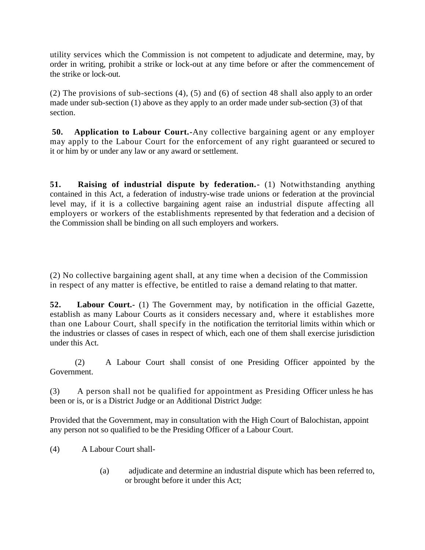utility services which the Commission is not competent to adjudicate and determine, may, by order in writing, prohibit a strike or lock-out at any time before or after the commencement of the strike or lock-out.

(2) The provisions of sub-sections (4), (5) and (6) of section 48 shall also apply to an order made under sub-section  $(1)$  above as they apply to an order made under sub-section  $(3)$  of that section.

**50.** Application to Labour Court.-Any collective bargaining agent or any employer may apply to the Labour Court for the enforcement of any right guaranteed or secured to it or him by or under any law or any award or settlement.

**51. Raising of industrial dispute by federation.-** (1) Notwithstanding anything contained in this Act, a federation of industry-wise trade unions or federation at the provincial level may, if it is a collective bargaining agent raise an industrial dispute affecting all employers or workers of the establishments represented by that federation and a decision of the Commission shall be binding on all such employers and workers.

(2) No collective bargaining agent shall, at any time when a decision of the Commission in respect of any matter is effective, be entitled to raise a demand relating to that matter.

**52. Labour Court.-** (1) The Government may, by notification in the official Gazette, establish as many Labour Courts as it considers necessary and, where it establishes more than one Labour Court, shall specify in the notification the territorial limits within which or the industries or classes of cases in respect of which, each one of them shall exercise jurisdiction under this Act.

(2) A Labour Court shall consist of one Presiding Officer appointed by the Government.

(3) A person shall not be qualified for appointment as Presiding Officer unless he has been or is, or is a District Judge or an Additional District Judge:

Provided that the Government, may in consultation with the High Court of Balochistan, appoint any person not so qualified to be the Presiding Officer of a Labour Court.

(4) A Labour Court shall-

(a) adjudicate and determine an industrial dispute which has been referred to, or brought before it under this Act;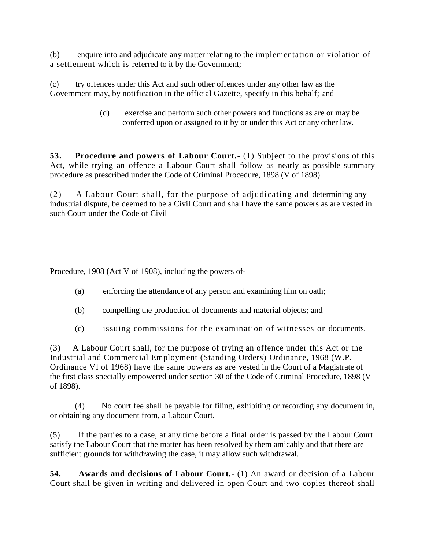(b) enquire into and adjudicate any matter relating to the implementation or violation of a settlement which is referred to it by the Government;

(c) try offences under this Act and such other offences under any other law as the Government may, by notification in the official Gazette, specify in this behalf; and

> (d) exercise and perform such other powers and functions as are or may be conferred upon or assigned to it by or under this Act or any other law.

**53. Procedure and powers of Labour Court.-** (1) Subject to the provisions of this Act, while trying an offence a Labour Court shall follow as nearly as possible summary procedure as prescribed under the Code of Criminal Procedure, 1898 (V of 1898).

(2) A Labour Court shall, for the purpose of adjudicating and determining any industrial dispute, be deemed to be a Civil Court and shall have the same powers as are vested in such Court under the Code of Civil

Procedure, 1908 (Act V of 1908), including the powers of-

- (a) enforcing the attendance of any person and examining him on oath;
- (b) compelling the production of documents and material objects; and
- (c) issuing commissions for the examination of witnesses or documents.

(3) A Labour Court shall, for the purpose of trying an offence under this Act or the Industrial and Commercial Employment (Standing Orders) Ordinance, 1968 (W.P. Ordinance VI of 1968) have the same powers as are vested in the Court of a Magistrate of the first class specially empowered under section 30 of the Code of Criminal Procedure, 1898 (V of 1898).

(4) No court fee shall be payable for filing, exhibiting or recording any document in, or obtaining any document from, a Labour Court.

(5) If the parties to a case, at any time before a final order is passed by the Labour Court satisfy the Labour Court that the matter has been resolved by them amicably and that there are sufficient grounds for withdrawing the case, it may allow such withdrawal.

**54. Awards and decisions of Labour Court.-** (1) An award or decision of a Labour Court shall be given in writing and delivered in open Court and two copies thereof shall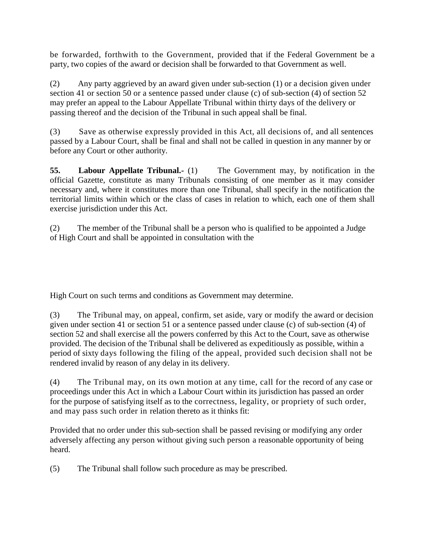be forwarded, forthwith to the Government, provided that if the Federal Government be a party, two copies of the award or decision shall be forwarded to that Government as well.

(2) Any party aggrieved by an award given under sub-section (1) or a decision given under section 41 or section 50 or a sentence passed under clause (c) of sub-section (4) of section 52 may prefer an appeal to the Labour Appellate Tribunal within thirty days of the delivery or passing thereof and the decision of the Tribunal in such appeal shall be final.

(3) Save as otherwise expressly provided in this Act, all decisions of, and all sentences passed by a Labour Court, shall be final and shall not be called in question in any manner by or before any Court or other authority.

**55. Labour Appellate Tribunal.-** (1) The Government may, by notification in the official Gazette, constitute as many Tribunals consisting of one member as it may consider necessary and, where it constitutes more than one Tribunal, shall specify in the notification the territorial limits within which or the class of cases in relation to which, each one of them shall exercise jurisdiction under this Act.

(2) The member of the Tribunal shall be a person who is qualified to be appointed a Judge of High Court and shall be appointed in consultation with the

High Court on such terms and conditions as Government may determine.

(3) The Tribunal may, on appeal, confirm, set aside, vary or modify the award or decision given under section 41 or section 51 or a sentence passed under clause (c) of sub-section (4) of section 52 and shall exercise all the powers conferred by this Act to the Court, save as otherwise provided. The decision of the Tribunal shall be delivered as expeditiously as possible, within a period of sixty days following the filing of the appeal, provided such decision shall not be rendered invalid by reason of any delay in its delivery.

(4) The Tribunal may, on its own motion at any time, call for the record of any case or proceedings under this Act in which a Labour Court within its jurisdiction has passed an order for the purpose of satisfying itself as to the correctness, legality, or propriety of such order, and may pass such order in relation thereto as it thinks fit:

Provided that no order under this sub-section shall be passed revising or modifying any order adversely affecting any person without giving such person a reasonable opportunity of being heard.

(5) The Tribunal shall follow such procedure as may be prescribed.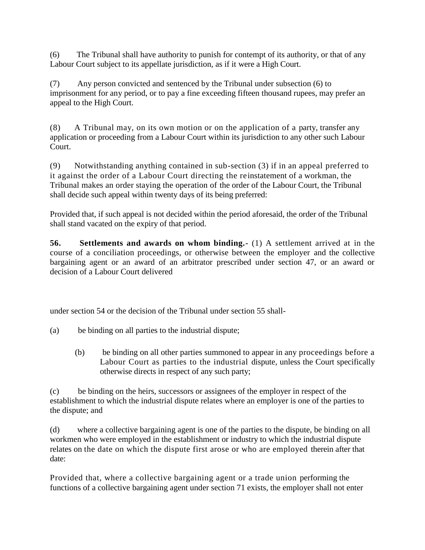(6) The Tribunal shall have authority to punish for contempt of its authority, or that of any Labour Court subject to its appellate jurisdiction, as if it were a High Court.

(7) Any person convicted and sentenced by the Tribunal under subsection (6) to imprisonment for any period, or to pay a fine exceeding fifteen thousand rupees, may prefer an appeal to the High Court.

(8) A Tribunal may, on its own motion or on the application of a party, transfer any application or proceeding from a Labour Court within its jurisdiction to any other such Labour Court.

(9) Notwithstanding anything contained in sub-section (3) if in an appeal preferred to it against the order of a Labour Court directing the reinstatement of a workman, the Tribunal makes an order staying the operation of the order of the Labour Court, the Tribunal shall decide such appeal within twenty days of its being preferred:

Provided that, if such appeal is not decided within the period aforesaid, the order of the Tribunal shall stand vacated on the expiry of that period.

**56. Settlements and awards on whom binding.-** (1) A settlement arrived at in the course of a conciliation proceedings, or otherwise between the employer and the collective bargaining agent or an award of an arbitrator prescribed under section 47, or an award or decision of a Labour Court delivered

under section 54 or the decision of the Tribunal under section 55 shall-

- (a) be binding on all parties to the industrial dispute;
	- (b) be binding on all other parties summoned to appear in any proceedings before a Labour Court as parties to the industrial dispute, unless the Court specifically otherwise directs in respect of any such party;

(c) be binding on the heirs, successors or assignees of the employer in respect of the establishment to which the industrial dispute relates where an employer is one of the parties to the dispute; and

(d) where a collective bargaining agent is one of the parties to the dispute, be binding on all workmen who were employed in the establishment or industry to which the industrial dispute relates on the date on which the dispute first arose or who are employed therein after that date:

Provided that, where a collective bargaining agent or a trade union performing the functions of a collective bargaining agent under section 71 exists, the employer shall not enter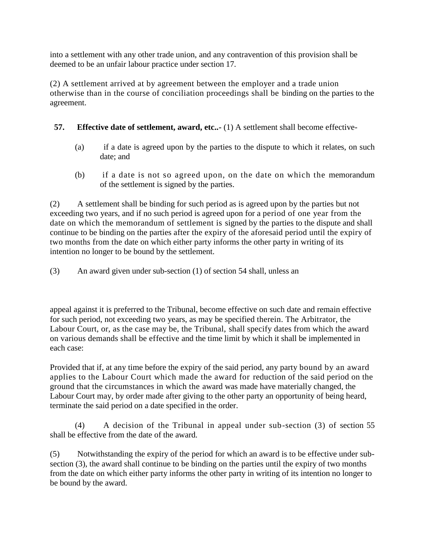into a settlement with any other trade union, and any contravention of this provision shall be deemed to be an unfair labour practice under section 17.

(2) A settlement arrived at by agreement between the employer and a trade union otherwise than in the course of conciliation proceedings shall be binding on the parties to the agreement.

## **57.** Effective date of settlement, award, etc..- (1) A settlement shall become effective-

- (a) if a date is agreed upon by the parties to the dispute to which it relates, on such date; and
- (b) if a date is not so agreed upon, on the date on which the memorandum of the settlement is signed by the parties.

(2) A settlement shall be binding for such period as is agreed upon by the parties but not exceeding two years, and if no such period is agreed upon for a period of one year from the date on which the memorandum of settlement is signed by the parties to the dispute and shall continue to be binding on the parties after the expiry of the aforesaid period until the expiry of two months from the date on which either party informs the other party in writing of its intention no longer to be bound by the settlement.

(3) An award given under sub-section (1) of section 54 shall, unless an

appeal against it is preferred to the Tribunal, become effective on such date and remain effective for such period, not exceeding two years, as may be specified therein. The Arbitrator, the Labour Court, or, as the case may be, the Tribunal, shall specify dates from which the award on various demands shall be effective and the time limit by which it shall be implemented in each case:

Provided that if, at any time before the expiry of the said period, any party bound by an award applies to the Labour Court which made the award for reduction of the said period on the ground that the circumstances in which the award was made have materially changed, the Labour Court may, by order made after giving to the other party an opportunity of being heard, terminate the said period on a date specified in the order.

(4) A decision of the Tribunal in appeal under sub-section (3) of section 55 shall be effective from the date of the award.

(5) Notwithstanding the expiry of the period for which an award is to be effective under subsection (3), the award shall continue to be binding on the parties until the expiry of two months from the date on which either party informs the other party in writing of its intention no longer to be bound by the award.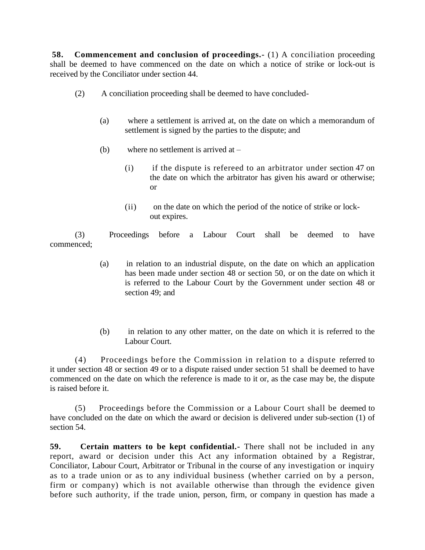**58. Commencement and conclusion of proceedings.-** (1) A conciliation proceeding shall be deemed to have commenced on the date on which a notice of strike or lock-out is received by the Conciliator under section 44.

- (2) A conciliation proceeding shall be deemed to have concluded-
	- (a) where a settlement is arrived at, on the date on which a memorandum of settlement is signed by the parties to the dispute; and
	- (b) where no settlement is arrived at
		- (i) if the dispute is refereed to an arbitrator under section 47 on the date on which the arbitrator has given his award or otherwise; or
		- (ii) on the date on which the period of the notice of strike or lockout expires.

(3) Proceedings before a Labour Court shall be deemed to have commenced;

- (a) in relation to an industrial dispute, on the date on which an application has been made under section 48 or section 50, or on the date on which it is referred to the Labour Court by the Government under section 48 or section 49; and
- (b) in relation to any other matter, on the date on which it is referred to the Labour Court.

(4) Proceedings before the Commission in relation to a dispute referred to it under section 48 or section 49 or to a dispute raised under section 51 shall be deemed to have commenced on the date on which the reference is made to it or, as the case may be, the dispute is raised before it.

(5) Proceedings before the Commission or a Labour Court shall be deemed to have concluded on the date on which the award or decision is delivered under sub-section (1) of section 54.

**59. Certain matters to be kept confidential.-** There shall not be included in any report, award or decision under this Act any information obtained by a Registrar, Conciliator, Labour Court, Arbitrator or Tribunal in the course of any investigation or inquiry as to a trade union or as to any individual business (whether carried on by a person, firm or company) which is not available otherwise than through the evidence given before such authority, if the trade union, person, firm, or company in question has made a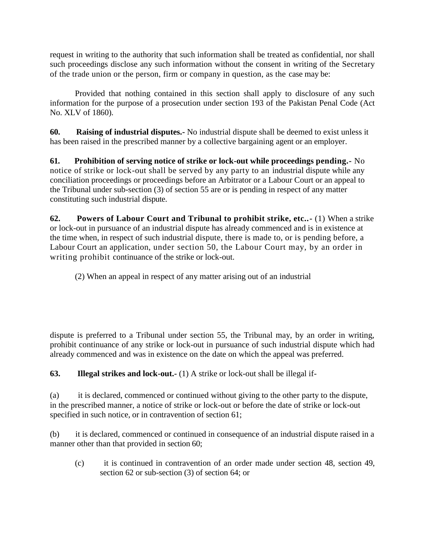request in writing to the authority that such information shall be treated as confidential, nor shall such proceedings disclose any such information without the consent in writing of the Secretary of the trade union or the person, firm or company in question, as the case may be:

Provided that nothing contained in this section shall apply to disclosure of any such information for the purpose of a prosecution under section 193 of the Pakistan Penal Code (Act No. XLV of 1860).

**60. Raising of industrial disputes.-** No industrial dispute shall be deemed to exist unless it has been raised in the prescribed manner by a collective bargaining agent or an employer.

**61. Prohibition of serving notice of strike or lock-out while proceedings pending.-** No notice of strike or lock-out shall be served by any party to an industrial dispute while any conciliation proceedings or proceedings before an Arbitrator or a Labour Court or an appeal to the Tribunal under sub-section (3) of section 55 are or is pending in respect of any matter constituting such industrial dispute.

**62. Powers of Labour Court and Tribunal to prohibit strike, etc..-** (1) When a strike or lock-out in pursuance of an industrial dispute has already commenced and is in existence at the time when, in respect of such industrial dispute, there is made to, or is pending before, a Labour Court an application, under section 50, the Labour Court may, by an order in writing prohibit continuance of the strike or lock-out.

(2) When an appeal in respect of any matter arising out of an industrial

dispute is preferred to a Tribunal under section 55, the Tribunal may, by an order in writing, prohibit continuance of any strike or lock-out in pursuance of such industrial dispute which had already commenced and was in existence on the date on which the appeal was preferred.

**63. Illegal strikes and lock-out.-** (1) A strike or lock-out shall be illegal if-

(a) it is declared, commenced or continued without giving to the other party to the dispute, in the prescribed manner, a notice of strike or lock-out or before the date of strike or lock-out specified in such notice, or in contravention of section 61;

(b) it is declared, commenced or continued in consequence of an industrial dispute raised in a manner other than that provided in section 60;

(c) it is continued in contravention of an order made under section 48, section 49, section 62 or sub-section (3) of section 64; or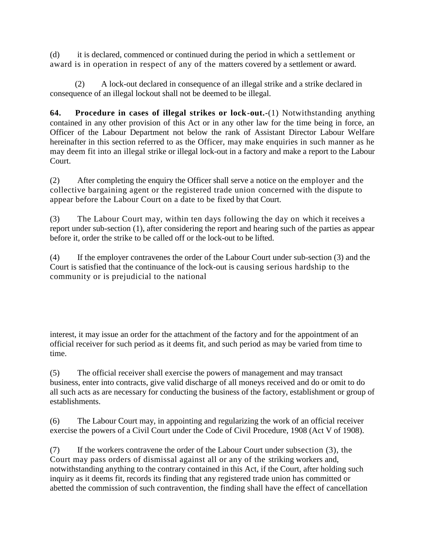(d) it is declared, commenced or continued during the period in which a settlement or award is in operation in respect of any of the matters covered by a settlement or award.

(2) A lock-out declared in consequence of an illegal strike and a strike declared in consequence of an illegal lockout shall not be deemed to be illegal.

**64. Procedure in cases of illegal strikes or lock-out.-**(1) Notwithstanding anything contained in any other provision of this Act or in any other law for the time being in force, an Officer of the Labour Department not below the rank of Assistant Director Labour Welfare hereinafter in this section referred to as the Officer, may make enquiries in such manner as he may deem fit into an illegal strike or illegal lock-out in a factory and make a report to the Labour Court.

(2) After completing the enquiry the Officer shall serve a notice on the employer and the collective bargaining agent or the registered trade union concerned with the dispute to appear before the Labour Court on a date to be fixed by that Court.

(3) The Labour Court may, within ten days following the day on which it receives a report under sub-section (1), after considering the report and hearing such of the parties as appear before it, order the strike to be called off or the lock-out to be lifted.

(4) If the employer contravenes the order of the Labour Court under sub-section (3) and the Court is satisfied that the continuance of the lock-out is causing serious hardship to the community or is prejudicial to the national

interest, it may issue an order for the attachment of the factory and for the appointment of an official receiver for such period as it deems fit, and such period as may be varied from time to time.

(5) The official receiver shall exercise the powers of management and may transact business, enter into contracts, give valid discharge of all moneys received and do or omit to do all such acts as are necessary for conducting the business of the factory, establishment or group of establishments.

(6) The Labour Court may, in appointing and regularizing the work of an official receiver exercise the powers of a Civil Court under the Code of Civil Procedure, 1908 (Act V of 1908).

(7) If the workers contravene the order of the Labour Court under subsection (3), the Court may pass orders of dismissal against all or any of the striking workers and, notwithstanding anything to the contrary contained in this Act, if the Court, after holding such inquiry as it deems fit, records its finding that any registered trade union has committed or abetted the commission of such contravention, the finding shall have the effect of cancellation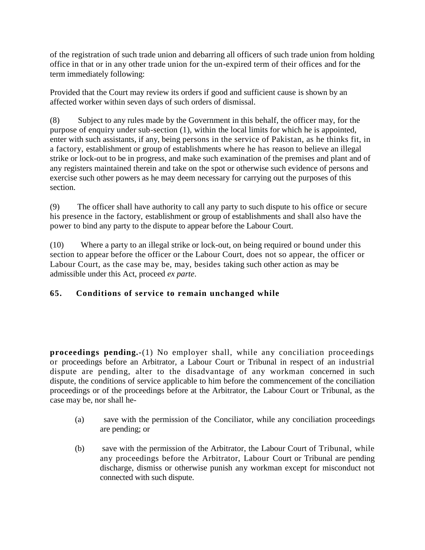of the registration of such trade union and debarring all officers of such trade union from holding office in that or in any other trade union for the un-expired term of their offices and for the term immediately following:

Provided that the Court may review its orders if good and sufficient cause is shown by an affected worker within seven days of such orders of dismissal.

(8) Subject to any rules made by the Government in this behalf, the officer may, for the purpose of enquiry under sub-section (1), within the local limits for which he is appointed, enter with such assistants, if any, being persons in the service of Pakistan, as he thinks fit, in a factory, establishment or group of establishments where he has reason to believe an illegal strike or lock-out to be in progress, and make such examination of the premises and plant and of any registers maintained therein and take on the spot or otherwise such evidence of persons and exercise such other powers as he may deem necessary for carrying out the purposes of this section.

(9) The officer shall have authority to call any party to such dispute to his office or secure his presence in the factory, establishment or group of establishments and shall also have the power to bind any party to the dispute to appear before the Labour Court.

(10) Where a party to an illegal strike or lock-out, on being required or bound under this section to appear before the officer or the Labour Court, does not so appear, the officer or Labour Court, as the case may be, may, besides taking such other action as may be admissible under this Act, proceed *ex parte*.

# **65. Conditions of service to remain unchanged while**

**proceedings pending.-**(1) No employer shall, while any conciliation proceedings or proceedings before an Arbitrator, a Labour Court or Tribunal in respect of an industrial dispute are pending, alter to the disadvantage of any workman concerned in such dispute, the conditions of service applicable to him before the commencement of the conciliation proceedings or of the proceedings before at the Arbitrator, the Labour Court or Tribunal, as the case may be, nor shall he-

- (a) save with the permission of the Conciliator, while any conciliation proceedings are pending; or
- (b) save with the permission of the Arbitrator, the Labour Court of Tribunal, while any proceedings before the Arbitrator, Labour Court or Tribunal are pending discharge, dismiss or otherwise punish any workman except for misconduct not connected with such dispute.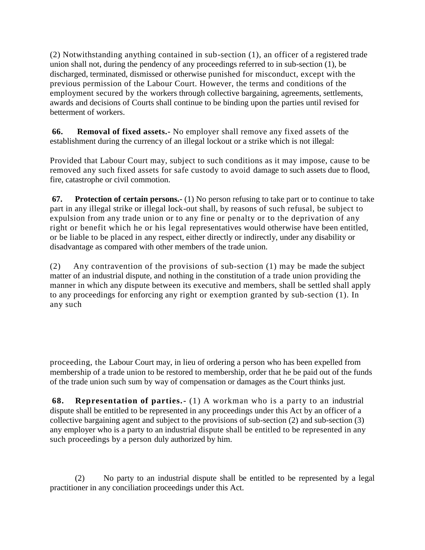(2) Notwithstanding anything contained in sub-section (1), an officer of a registered trade union shall not, during the pendency of any proceedings referred to in sub-section (1), be discharged, terminated, dismissed or otherwise punished for misconduct, except with the previous permission of the Labour Court. However, the terms and conditions of the employment secured by the workers through collective bargaining, agreements, settlements, awards and decisions of Courts shall continue to be binding upon the parties until revised for betterment of workers.

**66. Removal of fixed assets.-** No employer shall remove any fixed assets of the establishment during the currency of an illegal lockout or a strike which is not illegal:

Provided that Labour Court may, subject to such conditions as it may impose, cause to be removed any such fixed assets for safe custody to avoid damage to such assets due to flood, fire, catastrophe or civil commotion.

**67. Protection of certain persons.-** (1) No person refusing to take part or to continue to take part in any illegal strike or illegal lock-out shall, by reasons of such refusal, be subject to expulsion from any trade union or to any fine or penalty or to the deprivation of any right or benefit which he or his legal representatives would otherwise have been entitled, or be liable to be placed in any respect, either directly or indirectly, under any disability or disadvantage as compared with other members of the trade union.

(2) Any contravention of the provisions of sub-section (1) may be made the subject matter of an industrial dispute, and nothing in the constitution of a trade union providing the manner in which any dispute between its executive and members, shall be settled shall apply to any proceedings for enforcing any right or exemption granted by sub-section (1). In any such

proceeding, the Labour Court may, in lieu of ordering a person who has been expelled from membership of a trade union to be restored to membership, order that he be paid out of the funds of the trade union such sum by way of compensation or damages as the Court thinks just.

**68. Representation of parties.-** (1) A workman who is a party to an industrial dispute shall be entitled to be represented in any proceedings under this Act by an officer of a collective bargaining agent and subject to the provisions of sub-section (2) and sub-section (3) any employer who is a party to an industrial dispute shall be entitled to be represented in any such proceedings by a person duly authorized by him.

(2) No party to an industrial dispute shall be entitled to be represented by a legal practitioner in any conciliation proceedings under this Act.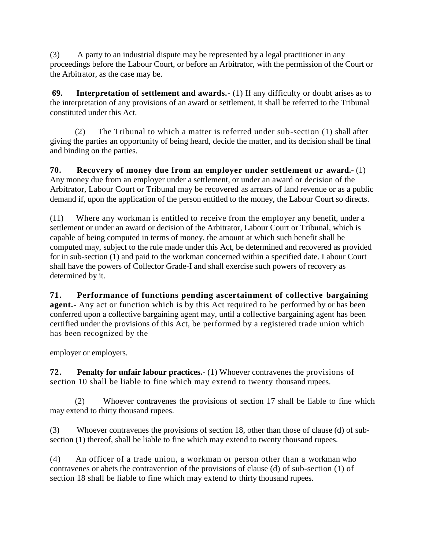(3) A party to an industrial dispute may be represented by a legal practitioner in any proceedings before the Labour Court, or before an Arbitrator, with the permission of the Court or the Arbitrator, as the case may be.

**69. Interpretation of settlement and awards.-** (1) If any difficulty or doubt arises as to the interpretation of any provisions of an award or settlement, it shall be referred to the Tribunal constituted under this Act.

(2) The Tribunal to which a matter is referred under sub-section (1) shall after giving the parties an opportunity of being heard, decide the matter, and its decision shall be final and binding on the parties.

**70. Recovery of money due from an employer under settlement or award.-** (1) Any money due from an employer under a settlement, or under an award or decision of the Arbitrator, Labour Court or Tribunal may be recovered as arrears of land revenue or as a public demand if, upon the application of the person entitled to the money, the Labour Court so directs.

(11) Where any workman is entitled to receive from the employer any benefit, under a settlement or under an award or decision of the Arbitrator, Labour Court or Tribunal, which is capable of being computed in terms of money, the amount at which such benefit shall be computed may, subject to the rule made under this Act, be determined and recovered as provided for in sub-section (1) and paid to the workman concerned within a specified date. Labour Court shall have the powers of Collector Grade-I and shall exercise such powers of recovery as determined by it.

**71. Performance of functions pending ascertainment of collective bargaining agent.** Any act or function which is by this Act required to be performed by or has been conferred upon a collective bargaining agent may, until a collective bargaining agent has been certified under the provisions of this Act, be performed by a registered trade union which has been recognized by the

employer or employers.

**72. Penalty for unfair labour practices.-** (1) Whoever contravenes the provisions of section 10 shall be liable to fine which may extend to twenty thousand rupees.

(2) Whoever contravenes the provisions of section 17 shall be liable to fine which may extend to thirty thousand rupees.

(3) Whoever contravenes the provisions of section 18, other than those of clause (d) of subsection (1) thereof, shall be liable to fine which may extend to twenty thousand rupees.

(4) An officer of a trade union, a workman or person other than a workman who contravenes or abets the contravention of the provisions of clause (d) of sub-section (1) of section 18 shall be liable to fine which may extend to thirty thousand rupees.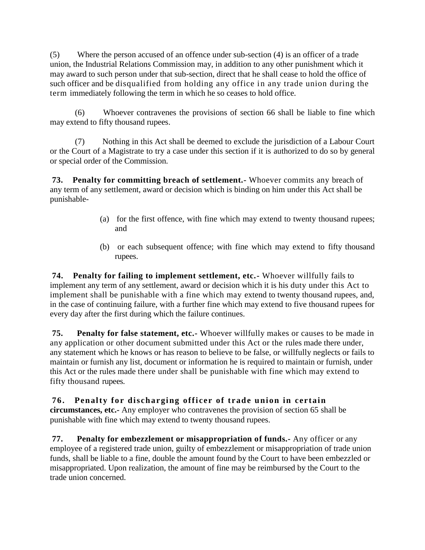(5) Where the person accused of an offence under sub-section (4) is an officer of a trade union, the Industrial Relations Commission may, in addition to any other punishment which it may award to such person under that sub-section, direct that he shall cease to hold the office of such officer and be disqualified from holding any office in any trade union during the term immediately following the term in which he so ceases to hold office.

(6) Whoever contravenes the provisions of section 66 shall be liable to fine which may extend to fifty thousand rupees.

(7) Nothing in this Act shall be deemed to exclude the jurisdiction of a Labour Court or the Court of a Magistrate to try a case under this section if it is authorized to do so by general or special order of the Commission.

**73. Penalty for committing breach of settlement.-** Whoever commits any breach of any term of any settlement, award or decision which is binding on him under this Act shall be punishable-

- (a) for the first offence, with fine which may extend to twenty thousand rupees; and
- (b) or each subsequent offence; with fine which may extend to fifty thousand rupees.

**74. Penalty for failing to implement settlement, etc.-** Whoever willfully fails to implement any term of any settlement, award or decision which it is his duty under this Act to implement shall be punishable with a fine which may extend to twenty thousand rupees, and, in the case of continuing failure, with a further fine which may extend to five thousand rupees for every day after the first during which the failure continues.

**75. Penalty for false statement, etc.-** Whoever willfully makes or causes to be made in any application or other document submitted under this Act or the rules made there under, any statement which he knows or has reason to believe to be false, or willfully neglects or fails to maintain or furnish any list, document or information he is required to maintain or furnish, under this Act or the rules made there under shall be punishable with fine which may extend to fifty thousand rupees.

**76. Penalty fo r discharging officer of trade union in certain circumstances, etc.-** Any employer who contravenes the provision of section 65 shall be punishable with fine which may extend to twenty thousand rupees.

**77. Penalty for embezzlement or misappropriation of funds.-** Any officer or any employee of a registered trade union, guilty of embezzlement or misappropriation of trade union funds, shall be liable to a fine, double the amount found by the Court to have been embezzled or misappropriated. Upon realization, the amount of fine may be reimbursed by the Court to the trade union concerned.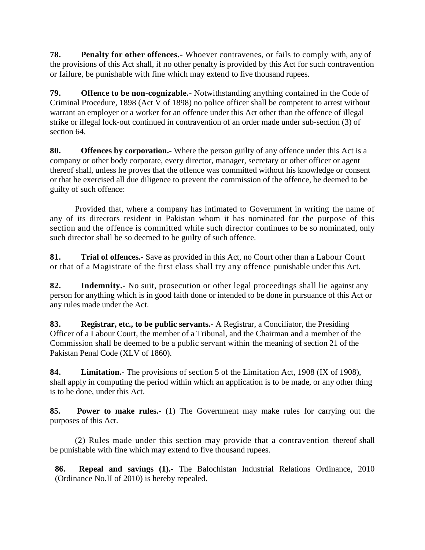**78. Penalty for other offences.-** Whoever contravenes, or fails to comply with, any of the provisions of this Act shall, if no other penalty is provided by this Act for such contravention or failure, be punishable with fine which may extend to five thousand rupees.

**79. Offence to be non-cognizable.-** Notwithstanding anything contained in the Code of Criminal Procedure, 1898 (Act V of 1898) no police officer shall be competent to arrest without warrant an employer or a worker for an offence under this Act other than the offence of illegal strike or illegal lock-out continued in contravention of an order made under sub-section (3) of section 64.

**80. Offences by corporation.-** Where the person guilty of any offence under this Act is a company or other body corporate, every director, manager, secretary or other officer or agent thereof shall, unless he proves that the offence was committed without his knowledge or consent or that he exercised all due diligence to prevent the commission of the offence, be deemed to be guilty of such offence:

Provided that, where a company has intimated to Government in writing the name of any of its directors resident in Pakistan whom it has nominated for the purpose of this section and the offence is committed while such director continues to be so nominated, only such director shall be so deemed to be guilty of such offence.

**81. Trial of offences.-** Save as provided in this Act, no Court other than a Labour Court or that of a Magistrate of the first class shall try any offence punishable under this Act.

**82. Indemnity.-** No suit, prosecution or other legal proceedings shall lie against any person for anything which is in good faith done or intended to be done in pursuance of this Act or any rules made under the Act.

**83. Registrar, etc., to be public servants.-** A Registrar, a Conciliator, the Presiding Officer of a Labour Court, the member of a Tribunal, and the Chairman and a member of the Commission shall be deemed to be a public servant within the meaning of section 21 of the Pakistan Penal Code (XLV of 1860).

**84. Limitation.-** The provisions of section 5 of the Limitation Act, 1908 (IX of 1908), shall apply in computing the period within which an application is to be made, or any other thing is to be done, under this Act.

**85. Power to make rules.-** (1) The Government may make rules for carrying out the purposes of this Act.

(2) Rules made under this section may provide that a contravention thereof shall be punishable with fine which may extend to five thousand rupees.

**86. Repeal and savings (1).-** The Balochistan Industrial Relations Ordinance, 2010 (Ordinance No.II of 2010) is hereby repealed.